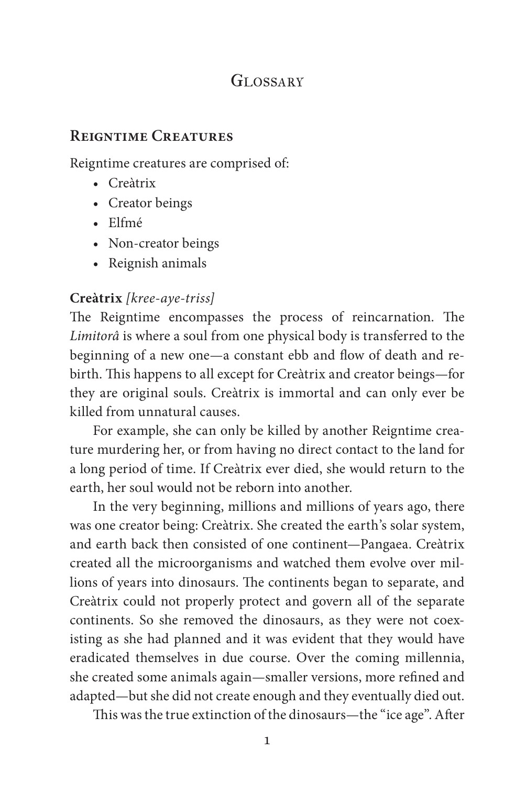# GLOSSARY

## **Reigntime Creatures**

Reigntime creatures are comprised of:

- Creàtrix
- Creator beings
- Elfmé
- Non-creator beings
- Reignish animals

# **Creàtrix** *[kree-aye-triss]*

The Reigntime encompasses the process of reincarnation. The *Limitorâ* is where a soul from one physical body is transferred to the beginning of a new one—a constant ebb and flow of death and rebirth. This happens to all except for Creàtrix and creator beings—for they are original souls. Creàtrix is immortal and can only ever be killed from unnatural causes.

For example, she can only be killed by another Reigntime creature murdering her, or from having no direct contact to the land for a long period of time. If Creàtrix ever died, she would return to the earth, her soul would not be reborn into another.

In the very beginning, millions and millions of years ago, there was one creator being: Creàtrix. She created the earth's solar system, and earth back then consisted of one continent—Pangaea. Creàtrix created all the microorganisms and watched them evolve over millions of years into dinosaurs. The continents began to separate, and Creàtrix could not properly protect and govern all of the separate continents. So she removed the dinosaurs, as they were not coexisting as she had planned and it was evident that they would have eradicated themselves in due course. Over the coming millennia, she created some animals again—smaller versions, more refined and adapted—but she did not create enough and they eventually died out.

This was the true extinction of the dinosaurs—the "ice age". After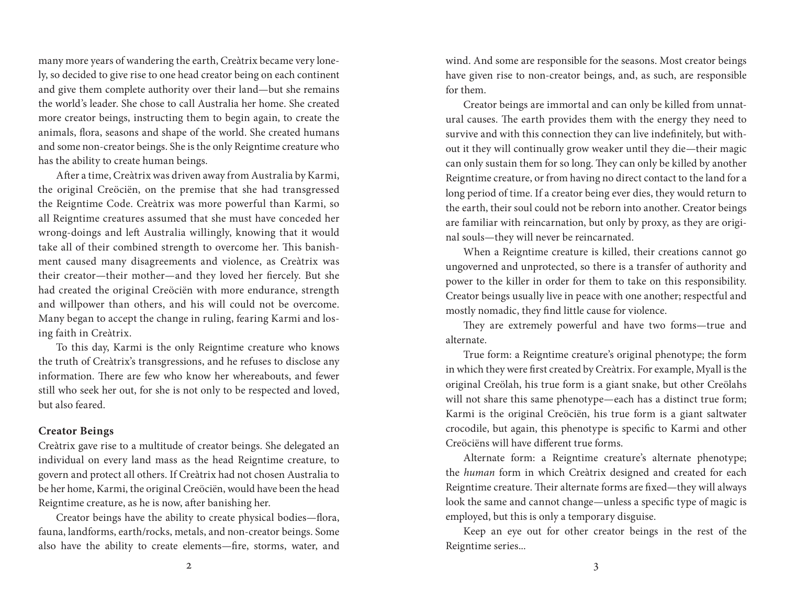many more years of wandering the earth, Creàtrix became very lonely, so decided to give rise to one head creator being on each continent and give them complete authority over their land—but she remains the world's leader. She chose to call Australia her home. She created more creator beings, instructing them to begin again, to create the animals, flora, seasons and shape of the world. She created humans and some non-creator beings. She is the only Reigntime creature who has the ability to create human beings.

After a time, Creàtrix was driven away from Australia by Karmi, the original Creöciën, on the premise that she had transgressed the Reigntime Code. Creàtrix was more powerful than Karmi, so all Reigntime creatures assumed that she must have conceded her wrong-doings and left Australia willingly, knowing that it would take all of their combined strength to overcome her. This banishment caused many disagreements and violence, as Creàtrix was their creator—their mother—and they loved her fiercely. But she had created the original Creöciën with more endurance, strength and willpower than others, and his will could not be overcome. Many began to accept the change in ruling, fearing Karmi and losing faith in Creàtrix.

To this day, Karmi is the only Reigntime creature who knows the truth of Creàtrix's transgressions, and he refuses to disclose any information. There are few who know her whereabouts, and fewer still who seek her out, for she is not only to be respected and loved, but also feared.

### **Creator Beings**

Creàtrix gave rise to a multitude of creator beings. She delegated an individual on every land mass as the head Reigntime creature, to govern and protect all others. If Creàtrix had not chosen Australia to be her home, Karmi, the original Creöciën, would have been the head Reigntime creature, as he is now, after banishing her.

Creator beings have the ability to create physical bodies—flora, fauna, landforms, earth/rocks, metals, and non-creator beings. Some also have the ability to create elements—fire, storms, water, and wind. And some are responsible for the seasons. Most creator beings have given rise to non-creator beings, and, as such, are responsible for them.

Creator beings are immortal and can only be killed from unnatural causes. The earth provides them with the energy they need to survive and with this connection they can live indefinitely, but without it they will continually grow weaker until they die—their magic can only sustain them for so long. They can only be killed by another Reigntime creature, or from having no direct contact to the land for a long period of time. If a creator being ever dies, they would return to the earth, their soul could not be reborn into another. Creator beings are familiar with reincarnation, but only by proxy, as they are original souls—they will never be reincarnated.

When a Reigntime creature is killed, their creations cannot go ungoverned and unprotected, so there is a transfer of authority and power to the killer in order for them to take on this responsibility. Creator beings usually live in peace with one another; respectful and mostly nomadic, they find little cause for violence.

They are extremely powerful and have two forms—true and alternate.

True form: a Reigntime creature's original phenotype; the form in which they were first created by Creàtrix. For example, Myall is the original Creölah, his true form is a giant snake, but other Creölahs will not share this same phenotype—each has a distinct true form; Karmi is the original Creöciën, his true form is a giant saltwater crocodile, but again, this phenotype is specific to Karmi and other Creöciëns will have different true forms.

Alternate form: a Reigntime creature's alternate phenotype; the *human* form in which Creàtrix designed and created for each Reigntime creature. Their alternate forms are fixed—they will always look the same and cannot change—unless a specific type of magic is employed, but this is only a temporary disguise.

Keep an eye out for other creator beings in the rest of the Reigntime series...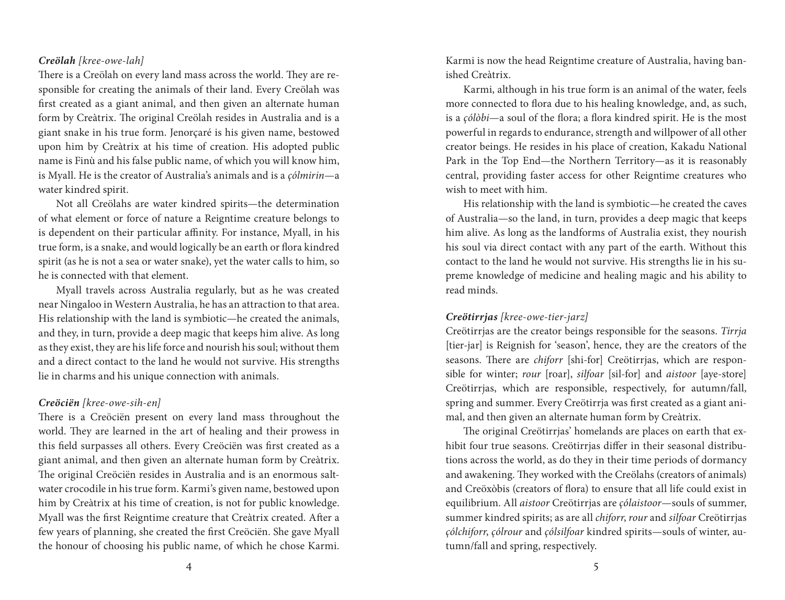### *Creölah [kree-owe-lah]*

There is a Creölah on every land mass across the world. They are responsible for creating the animals of their land. Every Creölah was first created as a giant animal, and then given an alternate human form by Creàtrix. The original Creölah resides in Australia and is a giant snake in his true form. Jenorçaré is his given name, bestowed upon him by Creàtrix at his time of creation. His adopted public name is Finù and his false public name, of which you will know him, is Myall. He is the creator of Australia's animals and is a *çólmirin*—a water kindred spirit.

Not all Creölahs are water kindred spirits—the determination of what element or force of nature a Reigntime creature belongs to is dependent on their particular affinity. For instance, Myall, in his true form, is a snake, and would logically be an earth or flora kindred spirit (as he is not a sea or water snake), yet the water calls to him, so he is connected with that element.

Myall travels across Australia regularly, but as he was created near Ningaloo in Western Australia, he has an attraction to that area. His relationship with the land is symbiotic—he created the animals, and they, in turn, provide a deep magic that keeps him alive. As long as they exist, they are his life force and nourish his soul; without them and a direct contact to the land he would not survive. His strengths lie in charms and his unique connection with animals.

#### *Creöciën [kree-owe-sih-en]*

There is a Creöciën present on every land mass throughout the world. They are learned in the art of healing and their prowess in this field surpasses all others. Every Creöciën was first created as a giant animal, and then given an alternate human form by Creàtrix. The original Creöciën resides in Australia and is an enormous saltwater crocodile in his true form. Karmi's given name, bestowed upon him by Creàtrix at his time of creation, is not for public knowledge. Myall was the first Reigntime creature that Creàtrix created. After a few years of planning, she created the first Creöciën. She gave Myall the honour of choosing his public name, of which he chose Karmi. Karmi is now the head Reigntime creature of Australia, having banished Creàtrix.

Karmi, although in his true form is an animal of the water, feels more connected to flora due to his healing knowledge, and, as such, is a *çólòbi*—a soul of the flora; a flora kindred spirit. He is the most powerful in regards to endurance, strength and willpower of all other creator beings. He resides in his place of creation, Kakadu National Park in the Top End—the Northern Territory—as it is reasonably central, providing faster access for other Reigntime creatures who wish to meet with him.

His relationship with the land is symbiotic—he created the caves of Australia—so the land, in turn, provides a deep magic that keeps him alive. As long as the landforms of Australia exist, they nourish his soul via direct contact with any part of the earth. Without this contact to the land he would not survive. His strengths lie in his supreme knowledge of medicine and healing magic and his ability to read minds.

### *Creötirrjas [kree-owe-tier-jarz]*

Creötirrjas are the creator beings responsible for the seasons. *Tirrja* [tier-jar] is Reignish for 'season', hence, they are the creators of the seasons. There are *chiforr* [shi-for] Creötirrjas, which are responsible for winter; *rour* [roar], *silfoar* [sil-for] and *aistoor* [aye-store] Creötirrjas, which are responsible, respectively, for autumn/fall, spring and summer. Every Creötirrja was first created as a giant animal, and then given an alternate human form by Creàtrix.

The original Creötirrjas' homelands are places on earth that exhibit four true seasons. Creötirrjas differ in their seasonal distributions across the world, as do they in their time periods of dormancy and awakening. They worked with the Creölahs (creators of animals) and Creöxòbis (creators of flora) to ensure that all life could exist in equilibrium. All *aistoor* Creötirrjas are *çólaistoor*—souls of summer, summer kindred spirits; as are all *chiforr*, *rour* and *silfoar* Creötirrjas *çólchiforr*, *çólrour* and *çólsilfoar* kindred spirits—souls of winter, autumn/fall and spring, respectively.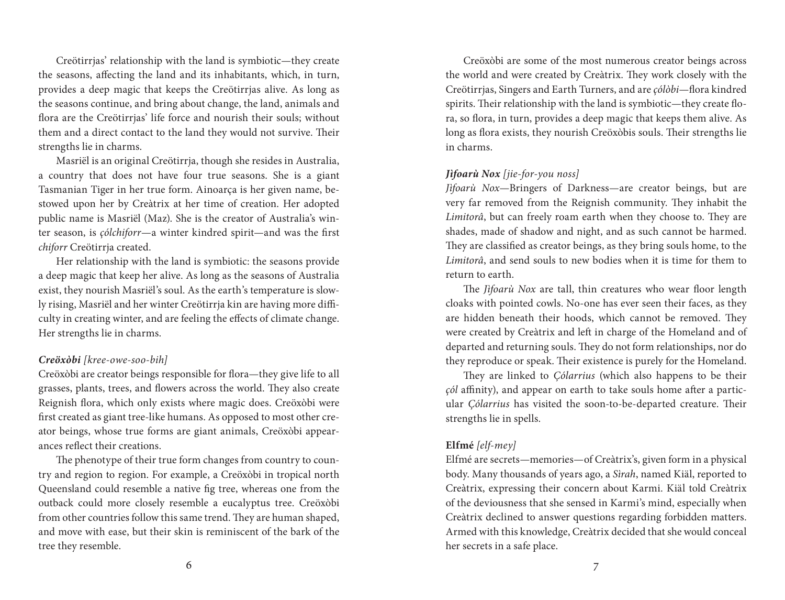Creötirrjas' relationship with the land is symbiotic—they create the seasons, affecting the land and its inhabitants, which, in turn, provides a deep magic that keeps the Creötirrjas alive. As long as the seasons continue, and bring about change, the land, animals and flora are the Creötirrjas' life force and nourish their souls; without them and a direct contact to the land they would not survive. Their strengths lie in charms.

Masriël is an original Creötirrja, though she resides in Australia, a country that does not have four true seasons. She is a giant Tasmanian Tiger in her true form. Ainoarça is her given name, bestowed upon her by Creàtrix at her time of creation. Her adopted public name is Masriël (Maz). She is the creator of Australia's winter season, is *çólchiforr*—a winter kindred spirit—and was the first *chiforr* Creötirrja created.

Her relationship with the land is symbiotic: the seasons provide a deep magic that keep her alive. As long as the seasons of Australia exist, they nourish Masriël's soul. As the earth's temperature is slowly rising, Masriël and her winter Creötirrja kin are having more difficulty in creating winter, and are feeling the effects of climate change. Her strengths lie in charms.

### *Creöxòbi [kree-owe-soo-bih]*

Creöxòbi are creator beings responsible for flora—they give life to all grasses, plants, trees, and flowers across the world. They also create Reignish flora, which only exists where magic does. Creöxòbi were first created as giant tree-like humans. As opposed to most other creator beings, whose true forms are giant animals, Creöxòbi appearances reflect their creations.

The phenotype of their true form changes from country to country and region to region. For example, a Creöxòbi in tropical north Queensland could resemble a native fig tree, whereas one from the outback could more closely resemble a eucalyptus tree. Creöxòbi from other countries follow this same trend. They are human shaped, and move with ease, but their skin is reminiscent of the bark of the tree they resemble.

Creöxòbi are some of the most numerous creator beings across the world and were created by Creàtrix. They work closely with the Creötirrjas, Singers and Earth Turners, and are *çólòbi*—flora kindred spirits. Their relationship with the land is symbiotic—they create flora, so flora, in turn, provides a deep magic that keeps them alive. As long as flora exists, they nourish Creöxòbis souls. Their strengths lie in charms.

### *Jìfoarù Nox [jie-for-you noss]*

*Jìfoarù Nox*—Bringers of Darkness—are creator beings, but are very far removed from the Reignish community. They inhabit the *Limitorâ*, but can freely roam earth when they choose to. They are shades, made of shadow and night, and as such cannot be harmed. They are classified as creator beings, as they bring souls home, to the *Limitorâ*, and send souls to new bodies when it is time for them to return to earth.

The *Jìfoarù Nox* are tall, thin creatures who wear floor length cloaks with pointed cowls. No-one has ever seen their faces, as they are hidden beneath their hoods, which cannot be removed. They were created by Creàtrix and left in charge of the Homeland and of departed and returning souls. They do not form relationships, nor do they reproduce or speak. Their existence is purely for the Homeland.

They are linked to *Çólarrius* (which also happens to be their *çól* affinity), and appear on earth to take souls home after a particular *Çólarrius* has visited the soon-to-be-departed creature. Their strengths lie in spells.

### **Elfmé** *[elf-mey]*

Elfmé are secrets—memories—of Creàtrix's, given form in a physical body. Many thousands of years ago, a *Sìrah*, named Kiäl, reported to Creàtrix, expressing their concern about Karmi. Kiäl told Creàtrix of the deviousness that she sensed in Karmi's mind, especially when Creàtrix declined to answer questions regarding forbidden matters. Armed with this knowledge, Creàtrix decided that she would conceal her secrets in a safe place.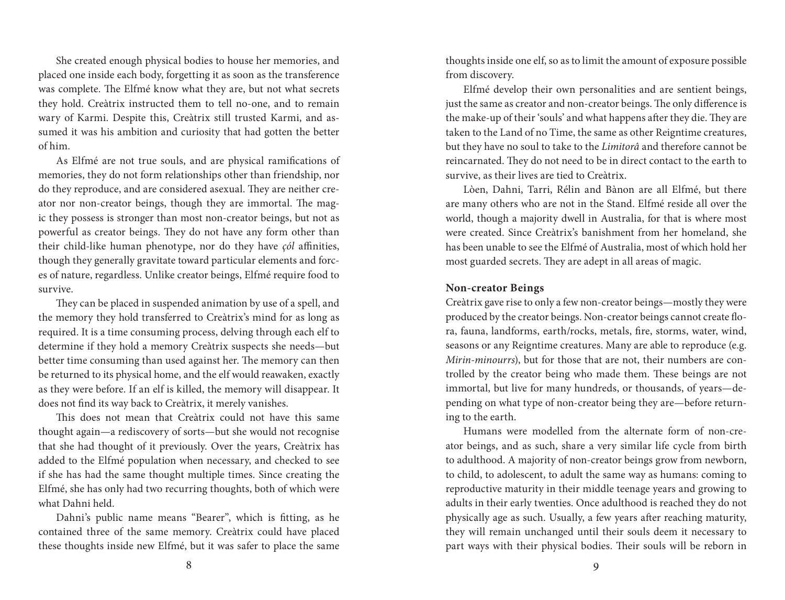She created enough physical bodies to house her memories, and placed one inside each body, forgetting it as soon as the transference was complete. The Elfmé know what they are, but not what secrets they hold. Creàtrix instructed them to tell no-one, and to remain wary of Karmi. Despite this, Creàtrix still trusted Karmi, and assumed it was his ambition and curiosity that had gotten the better of him.

As Elfmé are not true souls, and are physical ramifications of memories, they do not form relationships other than friendship, nor do they reproduce, and are considered asexual. They are neither creator nor non-creator beings, though they are immortal. The magic they possess is stronger than most non-creator beings, but not as powerful as creator beings. They do not have any form other than their child-like human phenotype, nor do they have *çól* affinities, though they generally gravitate toward particular elements and forces of nature, regardless. Unlike creator beings, Elfmé require food to survive.

They can be placed in suspended animation by use of a spell, and the memory they hold transferred to Creàtrix's mind for as long as required. It is a time consuming process, delving through each elf to determine if they hold a memory Creàtrix suspects she needs—but better time consuming than used against her. The memory can then be returned to its physical home, and the elf would reawaken, exactly as they were before. If an elf is killed, the memory will disappear. It does not find its way back to Creàtrix, it merely vanishes.

This does not mean that Creàtrix could not have this same thought again—a rediscovery of sorts—but she would not recognise that she had thought of it previously. Over the years, Creàtrix has added to the Elfmé population when necessary, and checked to see if she has had the same thought multiple times. Since creating the Elfmé, she has only had two recurring thoughts, both of which were what Dahni held.

Dahni's public name means "Bearer", which is fitting, as he contained three of the same memory. Creàtrix could have placed these thoughts inside new Elfmé, but it was safer to place the same thoughts inside one elf, so as to limit the amount of exposure possible from discovery.

Elfmé develop their own personalities and are sentient beings, just the same as creator and non-creator beings. The only difference is the make-up of their 'souls' and what happens after they die. They are taken to the Land of no Time, the same as other Reigntime creatures, but they have no soul to take to the *Limitorâ* and therefore cannot be reincarnated. They do not need to be in direct contact to the earth to survive, as their lives are tied to Creàtrix.

Lòen, Dahni, Tarri, Rélin and Bànon are all Elfmé, but there are many others who are not in the Stand. Elfmé reside all over the world, though a majority dwell in Australia, for that is where most were created. Since Creàtrix's banishment from her homeland, she has been unable to see the Elfmé of Australia, most of which hold her most guarded secrets. They are adept in all areas of magic.

### **Non-creator Beings**

Creàtrix gave rise to only a few non-creator beings—mostly they were produced by the creator beings. Non-creator beings cannot create flora, fauna, landforms, earth/rocks, metals, fire, storms, water, wind, seasons or any Reigntime creatures. Many are able to reproduce (e.g. *Mirin-minourrs*), but for those that are not, their numbers are controlled by the creator being who made them. These beings are not immortal, but live for many hundreds, or thousands, of years—depending on what type of non-creator being they are—before returning to the earth.

Humans were modelled from the alternate form of non-creator beings, and as such, share a very similar life cycle from birth to adulthood. A majority of non-creator beings grow from newborn, to child, to adolescent, to adult the same way as humans: coming to reproductive maturity in their middle teenage years and growing to adults in their early twenties. Once adulthood is reached they do not physically age as such. Usually, a few years after reaching maturity, they will remain unchanged until their souls deem it necessary to part ways with their physical bodies. Their souls will be reborn in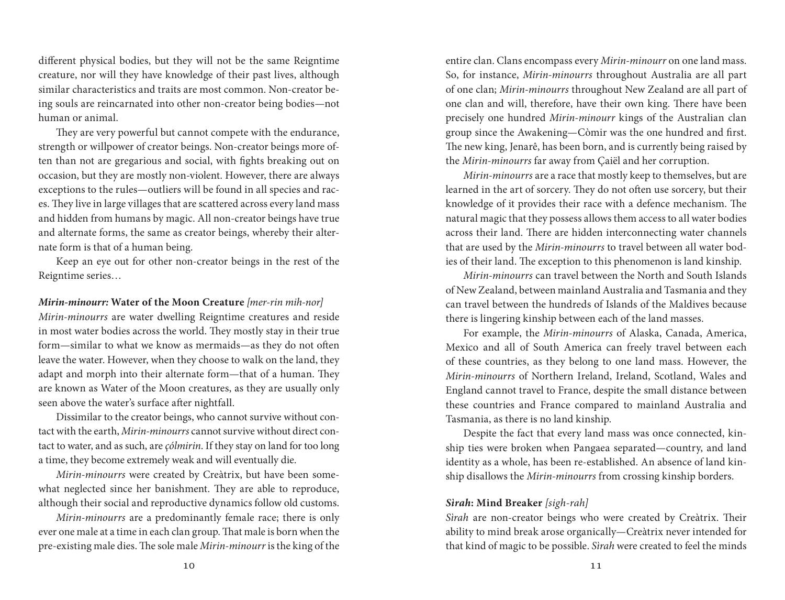different physical bodies, but they will not be the same Reigntime creature, nor will they have knowledge of their past lives, although similar characteristics and traits are most common. Non-creator being souls are reincarnated into other non-creator being bodies—not human or animal.

They are very powerful but cannot compete with the endurance, strength or willpower of creator beings. Non-creator beings more often than not are gregarious and social, with fights breaking out on occasion, but they are mostly non-violent. However, there are always exceptions to the rules—outliers will be found in all species and races. They live in large villages that are scattered across every land mass and hidden from humans by magic. All non-creator beings have true and alternate forms, the same as creator beings, whereby their alternate form is that of a human being.

Keep an eye out for other non-creator beings in the rest of the Reigntime series…

*Mirin-minourr:* **Water of the Moon Creature** *[mer-rin mih-nor] Mirin-minourrs* are water dwelling Reigntime creatures and reside in most water bodies across the world. They mostly stay in their true form—similar to what we know as mermaids—as they do not often leave the water. However, when they choose to walk on the land, they adapt and morph into their alternate form—that of a human. They are known as Water of the Moon creatures, as they are usually only seen above the water's surface after nightfall.

Dissimilar to the creator beings, who cannot survive without contact with the earth, *Mirin-minourrs* cannot survive without direct contact to water, and as such, are *çólmirin*. If they stay on land for too long a time, they become extremely weak and will eventually die.

*Mirin-minourrs* were created by Creàtrix, but have been somewhat neglected since her banishment. They are able to reproduce, although their social and reproductive dynamics follow old customs.

*Mirin-minourrs* are a predominantly female race; there is only ever one male at a time in each clan group. That male is born when the pre-existing male dies. The sole male *Mirin-minourr* is the king of the

entire clan. Clans encompass every *Mirin-minourr* on one land mass. So, for instance, *Mirin-minourrs* throughout Australia are all part of one clan; *Mirin-minourrs* throughout New Zealand are all part of one clan and will, therefore, have their own king. There have been precisely one hundred *Mirin-minourr* kings of the Australian clan group since the Awakening—Còmir was the one hundred and first. The new king, Jenarê, has been born, and is currently being raised by the *Mirin-minourrs* far away from Çaiël and her corruption.

*Mirin-minourrs* are a race that mostly keep to themselves, but are learned in the art of sorcery. They do not often use sorcery, but their knowledge of it provides their race with a defence mechanism. The natural magic that they possess allows them access to all water bodies across their land. There are hidden interconnecting water channels that are used by the *Mirin-minourrs* to travel between all water bodies of their land. The exception to this phenomenon is land kinship.

*Mirin-minourrs* can travel between the North and South Islands of New Zealand, between mainland Australia and Tasmania and they can travel between the hundreds of Islands of the Maldives because there is lingering kinship between each of the land masses.

For example, the *Mirin-minourrs* of Alaska, Canada, America, Mexico and all of South America can freely travel between each of these countries, as they belong to one land mass. However, the *Mirin-minourrs* of Northern Ireland, Ireland, Scotland, Wales and England cannot travel to France, despite the small distance between these countries and France compared to mainland Australia and Tasmania, as there is no land kinship.

Despite the fact that every land mass was once connected, kinship ties were broken when Pangaea separated—country, and land identity as a whole, has been re-established. An absence of land kinship disallows the *Mirin-minourrs* from crossing kinship borders.

## *Sìrah***: Mind Breaker** *[sigh-rah]*

*Sìrah* are non-creator beings who were created by Creàtrix. Their ability to mind break arose organically—Creàtrix never intended for that kind of magic to be possible. *Sìrah* were created to feel the minds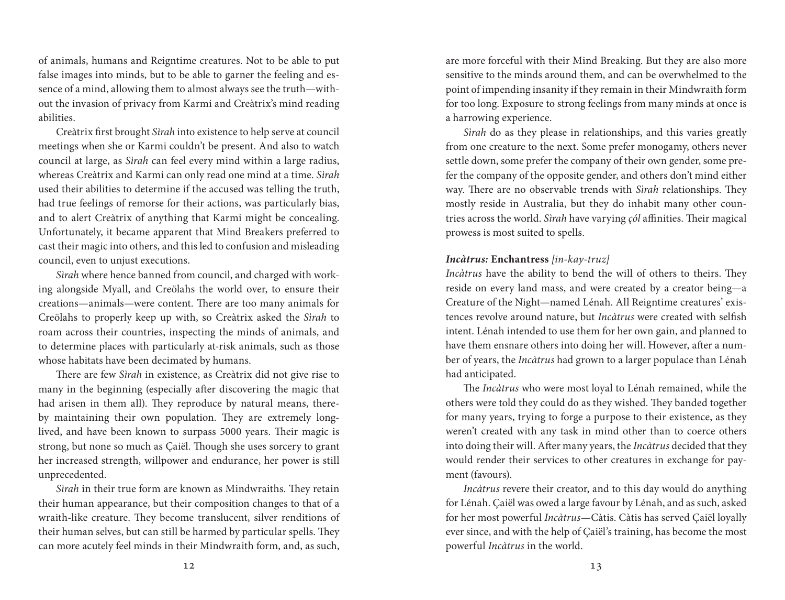of animals, humans and Reigntime creatures. Not to be able to put false images into minds, but to be able to garner the feeling and essence of a mind, allowing them to almost always see the truth—without the invasion of privacy from Karmi and Creàtrix's mind reading abilities.

Creàtrix first brought *Sìrah* into existence to help serve at council meetings when she or Karmi couldn't be present. And also to watch council at large, as *Sìrah* can feel every mind within a large radius, whereas Creàtrix and Karmi can only read one mind at a time. *Sìrah* used their abilities to determine if the accused was telling the truth, had true feelings of remorse for their actions, was particularly bias, and to alert Creàtrix of anything that Karmi might be concealing. Unfortunately, it became apparent that Mind Breakers preferred to cast their magic into others, and this led to confusion and misleading council, even to unjust executions.

*Sìrah* where hence banned from council, and charged with working alongside Myall, and Creölahs the world over, to ensure their creations—animals—were content. There are too many animals for Creölahs to properly keep up with, so Creàtrix asked the *Sìrah* to roam across their countries, inspecting the minds of animals, and to determine places with particularly at-risk animals, such as those whose habitats have been decimated by humans.

There are few *Sìrah* in existence, as Creàtrix did not give rise to many in the beginning (especially after discovering the magic that had arisen in them all). They reproduce by natural means, thereby maintaining their own population. They are extremely longlived, and have been known to surpass 5000 years. Their magic is strong, but none so much as Çaiël. Though she uses sorcery to grant her increased strength, willpower and endurance, her power is still unprecedented.

*Sìrah* in their true form are known as Mindwraiths. They retain their human appearance, but their composition changes to that of a wraith-like creature. They become translucent, silver renditions of their human selves, but can still be harmed by particular spells. They can more acutely feel minds in their Mindwraith form, and, as such, are more forceful with their Mind Breaking. But they are also more sensitive to the minds around them, and can be overwhelmed to the point of impending insanity if they remain in their Mindwraith form for too long. Exposure to strong feelings from many minds at once is a harrowing experience.

*Sìrah* do as they please in relationships, and this varies greatly from one creature to the next. Some prefer monogamy, others never settle down, some prefer the company of their own gender, some prefer the company of the opposite gender, and others don't mind either way. There are no observable trends with *Sìrah* relationships. They mostly reside in Australia, but they do inhabit many other countries across the world. *Sìrah* have varying *çól* affinities. Their magical prowess is most suited to spells.

### *Incàtrus:* **Enchantress** *[in-kay-truz]*

*Incàtrus* have the ability to bend the will of others to theirs. They reside on every land mass, and were created by a creator being—a Creature of the Night—named Lénah. All Reigntime creatures' existences revolve around nature, but *Incàtrus* were created with selfish intent. Lénah intended to use them for her own gain, and planned to have them ensnare others into doing her will. However, after a number of years, the *Incàtrus* had grown to a larger populace than Lénah had anticipated.

The *Incàtrus* who were most loyal to Lénah remained, while the others were told they could do as they wished. They banded together for many years, trying to forge a purpose to their existence, as they weren't created with any task in mind other than to coerce others into doing their will. After many years, the *Incàtrus* decided that they would render their services to other creatures in exchange for payment (favours).

*Incàtrus* revere their creator, and to this day would do anything for Lénah. Çaiël was owed a large favour by Lénah, and as such, asked for her most powerful *Incàtrus*—Càtis. Càtis has served Çaiël loyally ever since, and with the help of Çaiël's training, has become the most powerful *Incàtrus* in the world.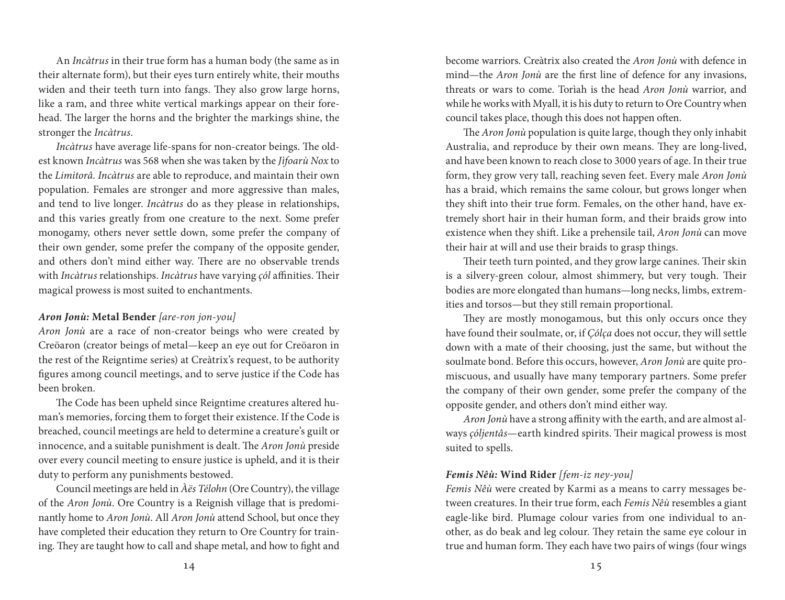An *Incàtrus* in their true form has a human body (the same as in their alternate form), but their eyes turn entirely white, their mouths widen and their teeth turn into fangs. They also grow large horns, like a ram, and three white vertical markings appear on their forehead. The larger the horns and the brighter the markings shine, the stronger the *Incàtrus*.

*Incàtrus* have average life-spans for non-creator beings. The oldest known *Incàtrus* was 568 when she was taken by the *Jìfoarù Nox* to the *Limitorâ*. *Incàtrus* are able to reproduce, and maintain their own population. Females are stronger and more aggressive than males, and tend to live longer. *Incàtrus* do as they please in relationships, and this varies greatly from one creature to the next. Some prefer monogamy, others never settle down, some prefer the company of their own gender, some prefer the company of the opposite gender, and others don't mind either way. There are no observable trends with *Incàtrus* relationships. *Incàtrus* have varying *çól* affinities. Their magical prowess is most suited to enchantments.

### *Aron Jonù:* **Metal Bender** *[are-ron jon-you]*

*Aron Jonù* are a race of non-creator beings who were created by Creöaron (creator beings of metal—keep an eye out for Creöaron in the rest of the Reigntime series) at Creàtrix's request, to be authority figures among council meetings, and to serve justice if the Code has been broken.

The Code has been upheld since Reigntime creatures altered human's memories, forcing them to forget their existence. If the Code is breached, council meetings are held to determine a creature's guilt or innocence, and a suitable punishment is dealt. The *Aron Jonù* preside over every council meeting to ensure justice is upheld, and it is their duty to perform any punishments bestowed.

Council meetings are held in *Àës Télohn* (Ore Country), the village of the *Aron Jonù*. Ore Country is a Reignish village that is predominantly home to *Aron Jonù*. All *Aron Jonù* attend School, but once they have completed their education they return to Ore Country for training. They are taught how to call and shape metal, and how to fight and

become warriors. Creàtrix also created the *Aron Jonù* with defence in mind—the *Aron Jonù* are the first line of defence for any invasions, threats or wars to come. Torìah is the head *Aron Jonù* warrior, and while he works with Myall, it is his duty to return to Ore Country when council takes place, though this does not happen often.

The *Aron Jonù* population is quite large, though they only inhabit Australia, and reproduce by their own means. They are long-lived, and have been known to reach close to 3000 years of age. In their true form, they grow very tall, reaching seven feet. Every male *Aron Jonù* has a braid, which remains the same colour, but grows longer when they shift into their true form. Females, on the other hand, have extremely short hair in their human form, and their braids grow into existence when they shift. Like a prehensile tail, *Aron Jonù* can move their hair at will and use their braids to grasp things.

Their teeth turn pointed, and they grow large canines. Their skin is a silvery-green colour, almost shimmery, but very tough. Their bodies are more elongated than humans—long necks, limbs, extremities and torsos—but they still remain proportional.

They are mostly monogamous, but this only occurs once they have found their soulmate, or, if *Çólça* does not occur, they will settle down with a mate of their choosing, just the same, but without the soulmate bond. Before this occurs, however, *Aron Jonù* are quite promiscuous, and usually have many temporary partners. Some prefer the company of their own gender, some prefer the company of the opposite gender, and others don't mind either way.

*Aron Jonù* have a strong affinity with the earth, and are almost always *çóljentâs*—earth kindred spirits. Their magical prowess is most suited to spells.

#### *Femis Nêù:* **Wind Rider** *[fem-iz ney-you]*

*Femis Nêù* were created by Karmi as a means to carry messages between creatures. In their true form, each *Femis Nêù* resembles a giant eagle-like bird. Plumage colour varies from one individual to another, as do beak and leg colour. They retain the same eye colour in true and human form. They each have two pairs of wings (four wings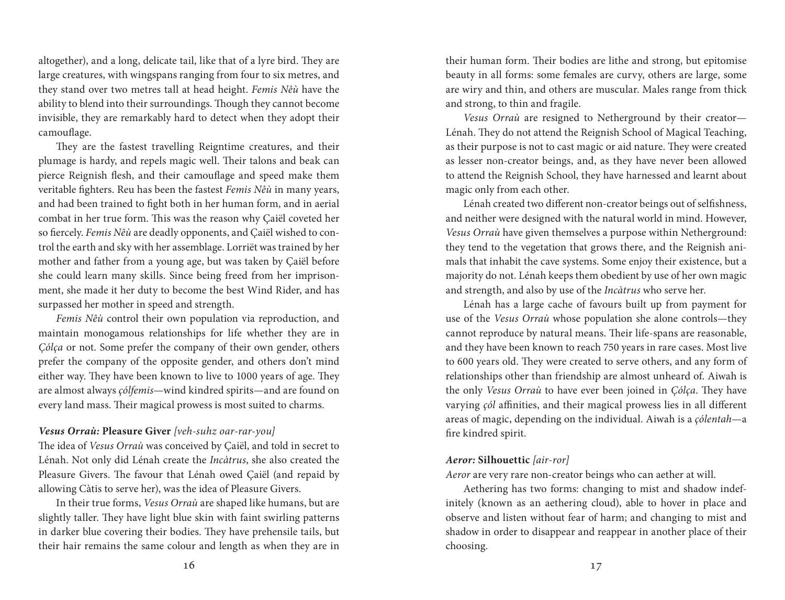altogether), and a long, delicate tail, like that of a lyre bird. They are large creatures, with wingspans ranging from four to six metres, and they stand over two metres tall at head height. *Femis Nêù* have the ability to blend into their surroundings. Though they cannot become invisible, they are remarkably hard to detect when they adopt their camouflage.

They are the fastest travelling Reigntime creatures, and their plumage is hardy, and repels magic well. Their talons and beak can pierce Reignish flesh, and their camouflage and speed make them veritable fighters. Reu has been the fastest *Femis Nêù* in many years, and had been trained to fight both in her human form, and in aerial combat in her true form. This was the reason why Çaiël coveted her so fiercely. *Femis Nêù* are deadly opponents, and Çaiël wished to control the earth and sky with her assemblage. Lorriët was trained by her mother and father from a young age, but was taken by Çaiël before she could learn many skills. Since being freed from her imprisonment, she made it her duty to become the best Wind Rider, and has surpassed her mother in speed and strength.

*Femis Nêù* control their own population via reproduction, and maintain monogamous relationships for life whether they are in *Çólça* or not. Some prefer the company of their own gender, others prefer the company of the opposite gender, and others don't mind either way. They have been known to live to 1000 years of age. They are almost always *çólfemis*—wind kindred spirits—and are found on every land mass. Their magical prowess is most suited to charms.

## *Vesus Orraù:* **Pleasure Giver** *[veh-suhz oar-rar-you]*

The idea of *Vesus Orraù* was conceived by Çaiël, and told in secret to Lénah. Not only did Lénah create the *Incàtrus*, she also created the Pleasure Givers. The favour that Lénah owed Çaiël (and repaid by allowing Càtis to serve her), was the idea of Pleasure Givers.

In their true forms, *Vesus Orraù* are shaped like humans, but are slightly taller. They have light blue skin with faint swirling patterns in darker blue covering their bodies. They have prehensile tails, but their hair remains the same colour and length as when they are in

their human form. Their bodies are lithe and strong, but epitomise beauty in all forms: some females are curvy, others are large, some are wiry and thin, and others are muscular. Males range from thick and strong, to thin and fragile.

*Vesus Orraù* are resigned to Netherground by their creator— Lénah. They do not attend the Reignish School of Magical Teaching, as their purpose is not to cast magic or aid nature. They were created as lesser non-creator beings, and, as they have never been allowed to attend the Reignish School, they have harnessed and learnt about magic only from each other.

Lénah created two different non-creator beings out of selfishness, and neither were designed with the natural world in mind. However, *Vesus Orraù* have given themselves a purpose within Netherground: they tend to the vegetation that grows there, and the Reignish animals that inhabit the cave systems. Some enjoy their existence, but a majority do not. Lénah keeps them obedient by use of her own magic and strength, and also by use of the *Incàtrus* who serve her.

Lénah has a large cache of favours built up from payment for use of the *Vesus Orraù* whose population she alone controls—they cannot reproduce by natural means. Their life-spans are reasonable, and they have been known to reach 750 years in rare cases. Most live to 600 years old. They were created to serve others, and any form of relationships other than friendship are almost unheard of. Aiwah is the only *Vesus Orraù* to have ever been joined in *Çólça*. They have varying *çól* affinities, and their magical prowess lies in all different areas of magic, depending on the individual. Aiwah is a *çólentah*—a fire kindred spirit.

#### *Aeror:* **Silhouettic** *[air-ror]*

*Aeror* are very rare non-creator beings who can aether at will.

Aethering has two forms: changing to mist and shadow indefinitely (known as an aethering cloud), able to hover in place and observe and listen without fear of harm; and changing to mist and shadow in order to disappear and reappear in another place of their choosing.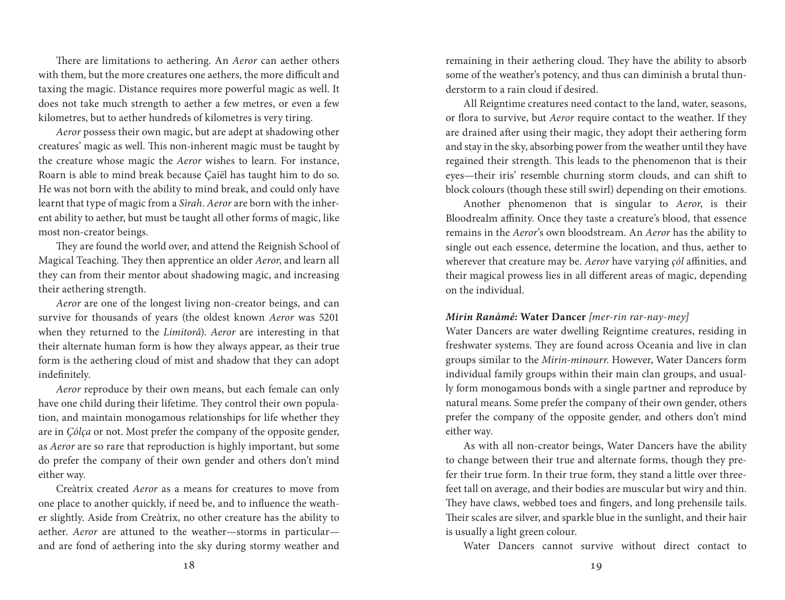There are limitations to aethering. An *Aeror* can aether others with them, but the more creatures one aethers, the more difficult and taxing the magic. Distance requires more powerful magic as well. It does not take much strength to aether a few metres, or even a few kilometres, but to aether hundreds of kilometres is very tiring.

*Aeror* possess their own magic, but are adept at shadowing other creatures' magic as well. This non-inherent magic must be taught by the creature whose magic the *Aeror* wishes to learn. For instance, Roarn is able to mind break because Çaiël has taught him to do so. He was not born with the ability to mind break, and could only have learnt that type of magic from a *Sìrah*. *Aeror* are born with the inherent ability to aether, but must be taught all other forms of magic, like most non-creator beings.

They are found the world over, and attend the Reignish School of Magical Teaching. They then apprentice an older *Aeror*, and learn all they can from their mentor about shadowing magic, and increasing their aethering strength.

*Aeror* are one of the longest living non-creator beings, and can survive for thousands of years (the oldest known *Aeror* was 5201 when they returned to the *Limitorâ*). *Aeror* are interesting in that their alternate human form is how they always appear, as their true form is the aethering cloud of mist and shadow that they can adopt indefinitely.

*Aeror* reproduce by their own means, but each female can only have one child during their lifetime. They control their own population, and maintain monogamous relationships for life whether they are in *Çólça* or not. Most prefer the company of the opposite gender, as *Aeror* are so rare that reproduction is highly important, but some do prefer the company of their own gender and others don't mind either way.

Creàtrix created *Aeror* as a means for creatures to move from one place to another quickly, if need be, and to influence the weather slightly. Aside from Creàtrix, no other creature has the ability to aether. *Aeror* are attuned to the weather—storms in particular and are fond of aethering into the sky during stormy weather and remaining in their aethering cloud. They have the ability to absorb some of the weather's potency, and thus can diminish a brutal thunderstorm to a rain cloud if desired.

All Reigntime creatures need contact to the land, water, seasons, or flora to survive, but *Aeror* require contact to the weather. If they are drained after using their magic, they adopt their aethering form and stay in the sky, absorbing power from the weather until they have regained their strength. This leads to the phenomenon that is their eyes—their iris' resemble churning storm clouds, and can shift to block colours (though these still swirl) depending on their emotions.

Another phenomenon that is singular to *Aeror*, is their Bloodrealm affinity. Once they taste a creature's blood, that essence remains in the *Aeror*'s own bloodstream. An *Aeror* has the ability to single out each essence, determine the location, and thus, aether to wherever that creature may be. *Aeror* have varying *çól* affinities, and their magical prowess lies in all different areas of magic, depending on the individual.

#### *Mirin Ranàmé:* **Water Dancer** *[mer-rin rar-nay-mey]*

Water Dancers are water dwelling Reigntime creatures, residing in freshwater systems. They are found across Oceania and live in clan groups similar to the *Mirin-minourr*. However, Water Dancers form individual family groups within their main clan groups, and usually form monogamous bonds with a single partner and reproduce by natural means. Some prefer the company of their own gender, others prefer the company of the opposite gender, and others don't mind either way.

As with all non-creator beings, Water Dancers have the ability to change between their true and alternate forms, though they prefer their true form. In their true form, they stand a little over threefeet tall on average, and their bodies are muscular but wiry and thin. They have claws, webbed toes and fingers, and long prehensile tails. Their scales are silver, and sparkle blue in the sunlight, and their hair is usually a light green colour.

Water Dancers cannot survive without direct contact to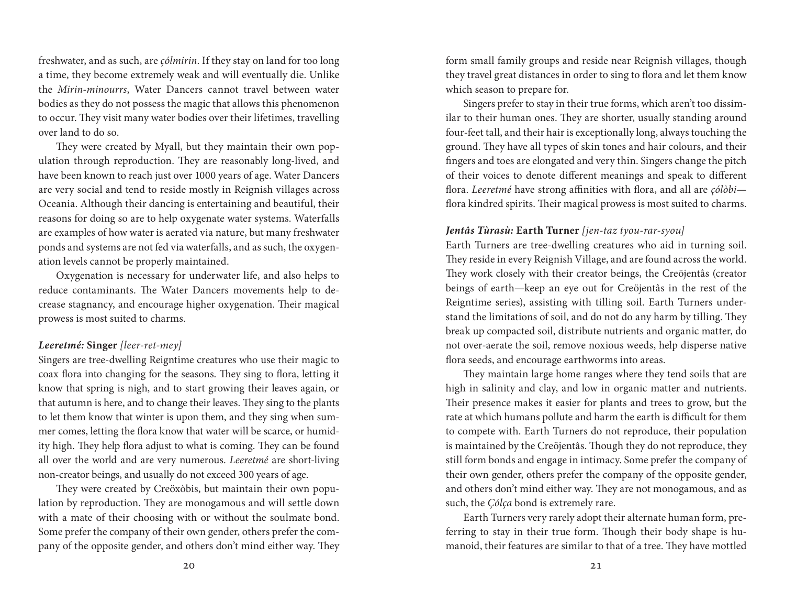freshwater, and as such, are *çólmirin*. If they stay on land for too long a time, they become extremely weak and will eventually die. Unlike the *Mirin-minourrs*, Water Dancers cannot travel between water bodies as they do not possess the magic that allows this phenomenon to occur. They visit many water bodies over their lifetimes, travelling over land to do so.

They were created by Myall, but they maintain their own population through reproduction. They are reasonably long-lived, and have been known to reach just over 1000 years of age. Water Dancers are very social and tend to reside mostly in Reignish villages across Oceania. Although their dancing is entertaining and beautiful, their reasons for doing so are to help oxygenate water systems. Waterfalls are examples of how water is aerated via nature, but many freshwater ponds and systems are not fed via waterfalls, and as such, the oxygenation levels cannot be properly maintained.

Oxygenation is necessary for underwater life, and also helps to reduce contaminants. The Water Dancers movements help to decrease stagnancy, and encourage higher oxygenation. Their magical prowess is most suited to charms.

#### *Leeretmé:* **Singer** *[leer-ret-mey]*

Singers are tree-dwelling Reigntime creatures who use their magic to coax flora into changing for the seasons. They sing to flora, letting it know that spring is nigh, and to start growing their leaves again, or that autumn is here, and to change their leaves. They sing to the plants to let them know that winter is upon them, and they sing when summer comes, letting the flora know that water will be scarce, or humidity high. They help flora adjust to what is coming. They can be found all over the world and are very numerous. *Leeretmé* are short-living non-creator beings, and usually do not exceed 300 years of age.

They were created by Creöxòbis, but maintain their own population by reproduction. They are monogamous and will settle down with a mate of their choosing with or without the soulmate bond. Some prefer the company of their own gender, others prefer the company of the opposite gender, and others don't mind either way. They form small family groups and reside near Reignish villages, though they travel great distances in order to sing to flora and let them know which season to prepare for.

Singers prefer to stay in their true forms, which aren't too dissimilar to their human ones. They are shorter, usually standing around four-feet tall, and their hair is exceptionally long, always touching the ground. They have all types of skin tones and hair colours, and their fingers and toes are elongated and very thin. Singers change the pitch of their voices to denote different meanings and speak to different flora. *Leeretmé* have strong affinities with flora, and all are *çólòbi* flora kindred spirits. Their magical prowess is most suited to charms.

#### *Jentâs Tùrasù:* **Earth Turner** *[jen-taz tyou-rar-syou]*

Earth Turners are tree-dwelling creatures who aid in turning soil. They reside in every Reignish Village, and are found across the world. They work closely with their creator beings, the Creöjentâs (creator beings of earth—keep an eye out for Creöjentâs in the rest of the Reigntime series), assisting with tilling soil. Earth Turners understand the limitations of soil, and do not do any harm by tilling. They break up compacted soil, distribute nutrients and organic matter, do not over-aerate the soil, remove noxious weeds, help disperse native flora seeds, and encourage earthworms into areas.

They maintain large home ranges where they tend soils that are high in salinity and clay, and low in organic matter and nutrients. Their presence makes it easier for plants and trees to grow, but the rate at which humans pollute and harm the earth is difficult for them to compete with. Earth Turners do not reproduce, their population is maintained by the Creöjentâs. Though they do not reproduce, they still form bonds and engage in intimacy. Some prefer the company of their own gender, others prefer the company of the opposite gender, and others don't mind either way. They are not monogamous, and as such, the *Çólça* bond is extremely rare.

Earth Turners very rarely adopt their alternate human form, preferring to stay in their true form. Though their body shape is humanoid, their features are similar to that of a tree. They have mottled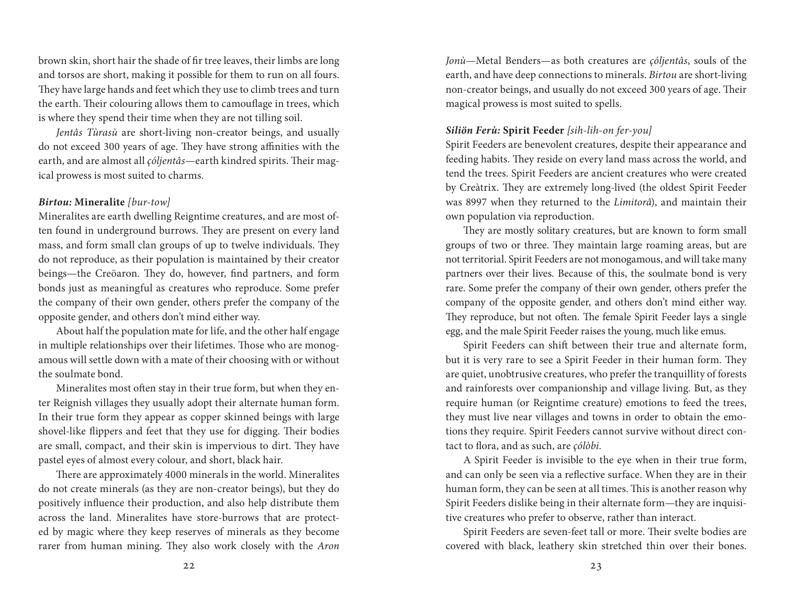brown skin, short hair the shade of fir tree leaves, their limbs are long and torsos are short, making it possible for them to run on all fours. They have large hands and feet which they use to climb trees and turn the earth. Their colouring allows them to camouflage in trees, which is where they spend their time when they are not tilling soil.

*Jentâs Tùrasù* are short-living non-creator beings, and usually do not exceed 300 years of age. They have strong affinities with the earth, and are almost all *çóljentâs*—earth kindred spirits. Their magical prowess is most suited to charms.

#### *Birtou:* **Mineralite** *[bur-tow]*

Mineralites are earth dwelling Reigntime creatures, and are most often found in underground burrows. They are present on every land mass, and form small clan groups of up to twelve individuals. They do not reproduce, as their population is maintained by their creator beings—the Creöaron. They do, however, find partners, and form bonds just as meaningful as creatures who reproduce. Some prefer the company of their own gender, others prefer the company of the opposite gender, and others don't mind either way.

About half the population mate for life, and the other half engage in multiple relationships over their lifetimes. Those who are monogamous will settle down with a mate of their choosing with or without the soulmate bond.

Mineralites most often stay in their true form, but when they enter Reignish villages they usually adopt their alternate human form. In their true form they appear as copper skinned beings with large shovel-like flippers and feet that they use for digging. Their bodies are small, compact, and their skin is impervious to dirt. They have pastel eyes of almost every colour, and short, black hair.

There are approximately 4000 minerals in the world. Mineralites do not create minerals (as they are non-creator beings), but they do positively influence their production, and also help distribute them across the land. Mineralites have store-burrows that are protected by magic where they keep reserves of minerals as they become rarer from human mining. They also work closely with the *Aron*  *Jonù*—Metal Benders—as both creatures are *çóljentâs*, souls of the earth, and have deep connections to minerals. *Birtou* are short-living non-creator beings, and usually do not exceed 300 years of age. Their magical prowess is most suited to spells.

### *Siliön Ferù:* **Spirit Feeder** *[sih-lih-on fer-you]*

Spirit Feeders are benevolent creatures, despite their appearance and feeding habits. They reside on every land mass across the world, and tend the trees. Spirit Feeders are ancient creatures who were created by Creàtrix. They are extremely long-lived (the oldest Spirit Feeder was 8997 when they returned to the *Limitorâ*), and maintain their own population via reproduction.

They are mostly solitary creatures, but are known to form small groups of two or three. They maintain large roaming areas, but are not territorial. Spirit Feeders are not monogamous, and will take many partners over their lives. Because of this, the soulmate bond is very rare. Some prefer the company of their own gender, others prefer the company of the opposite gender, and others don't mind either way. They reproduce, but not often. The female Spirit Feeder lays a single egg, and the male Spirit Feeder raises the young, much like emus.

Spirit Feeders can shift between their true and alternate form, but it is very rare to see a Spirit Feeder in their human form. They are quiet, unobtrusive creatures, who prefer the tranquillity of forests and rainforests over companionship and village living. But, as they require human (or Reigntime creature) emotions to feed the trees, they must live near villages and towns in order to obtain the emotions they require. Spirit Feeders cannot survive without direct contact to flora, and as such, are *çólòbi*.

A Spirit Feeder is invisible to the eye when in their true form, and can only be seen via a reflective surface. When they are in their human form, they can be seen at all times. This is another reason why Spirit Feeders dislike being in their alternate form—they are inquisitive creatures who prefer to observe, rather than interact.

Spirit Feeders are seven-feet tall or more. Their svelte bodies are covered with black, leathery skin stretched thin over their bones.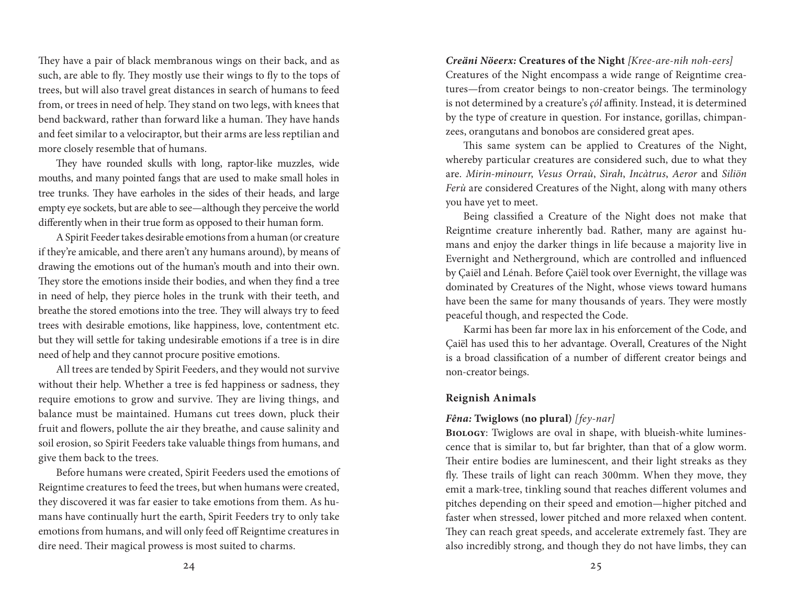They have a pair of black membranous wings on their back, and as such, are able to fly. They mostly use their wings to fly to the tops of trees, but will also travel great distances in search of humans to feed from, or trees in need of help. They stand on two legs, with knees that bend backward, rather than forward like a human. They have hands and feet similar to a velociraptor, but their arms are less reptilian and more closely resemble that of humans.

They have rounded skulls with long, raptor-like muzzles, wide mouths, and many pointed fangs that are used to make small holes in tree trunks. They have earholes in the sides of their heads, and large empty eye sockets, but are able to see—although they perceive the world differently when in their true form as opposed to their human form.

A Spirit Feeder takes desirable emotions from a human (or creature if they're amicable, and there aren't any humans around), by means of drawing the emotions out of the human's mouth and into their own. They store the emotions inside their bodies, and when they find a tree in need of help, they pierce holes in the trunk with their teeth, and breathe the stored emotions into the tree. They will always try to feed trees with desirable emotions, like happiness, love, contentment etc. but they will settle for taking undesirable emotions if a tree is in dire need of help and they cannot procure positive emotions.

All trees are tended by Spirit Feeders, and they would not survive without their help. Whether a tree is fed happiness or sadness, they require emotions to grow and survive. They are living things, and balance must be maintained. Humans cut trees down, pluck their fruit and flowers, pollute the air they breathe, and cause salinity and soil erosion, so Spirit Feeders take valuable things from humans, and give them back to the trees.

Before humans were created, Spirit Feeders used the emotions of Reigntime creatures to feed the trees, but when humans were created, they discovered it was far easier to take emotions from them. As humans have continually hurt the earth, Spirit Feeders try to only take emotions from humans, and will only feed off Reigntime creatures in dire need. Their magical prowess is most suited to charms.

*Creäni Nöeerx:* **Creatures of the Night** *[Kree-are-nih noh-eers]* Creatures of the Night encompass a wide range of Reigntime creatures—from creator beings to non-creator beings. The terminology is not determined by a creature's *çól* affinity. Instead, it is determined by the type of creature in question. For instance, gorillas, chimpanzees, orangutans and bonobos are considered great apes.

This same system can be applied to Creatures of the Night, whereby particular creatures are considered such, due to what they are. *Mirin-minourr*, *Vesus Orraù*, *Sìrah*, *Incàtrus*, *Aeror* and *Siliön Ferù* are considered Creatures of the Night, along with many others you have yet to meet.

Being classified a Creature of the Night does not make that Reigntime creature inherently bad. Rather, many are against humans and enjoy the darker things in life because a majority live in Evernight and Netherground, which are controlled and influenced by Çaiël and Lénah. Before Çaiël took over Evernight, the village was dominated by Creatures of the Night, whose views toward humans have been the same for many thousands of years. They were mostly peaceful though, and respected the Code.

Karmi has been far more lax in his enforcement of the Code, and Çaiël has used this to her advantage. Overall, Creatures of the Night is a broad classification of a number of different creator beings and non-creator beings.

### **Reignish Animals**

### *Fêna:* **Twiglows (no plural)** *[fey-nar]*

**Biology**: Twiglows are oval in shape, with blueish-white luminescence that is similar to, but far brighter, than that of a glow worm. Their entire bodies are luminescent, and their light streaks as they fly. These trails of light can reach 300mm. When they move, they emit a mark-tree, tinkling sound that reaches different volumes and pitches depending on their speed and emotion—higher pitched and faster when stressed, lower pitched and more relaxed when content. They can reach great speeds, and accelerate extremely fast. They are also incredibly strong, and though they do not have limbs, they can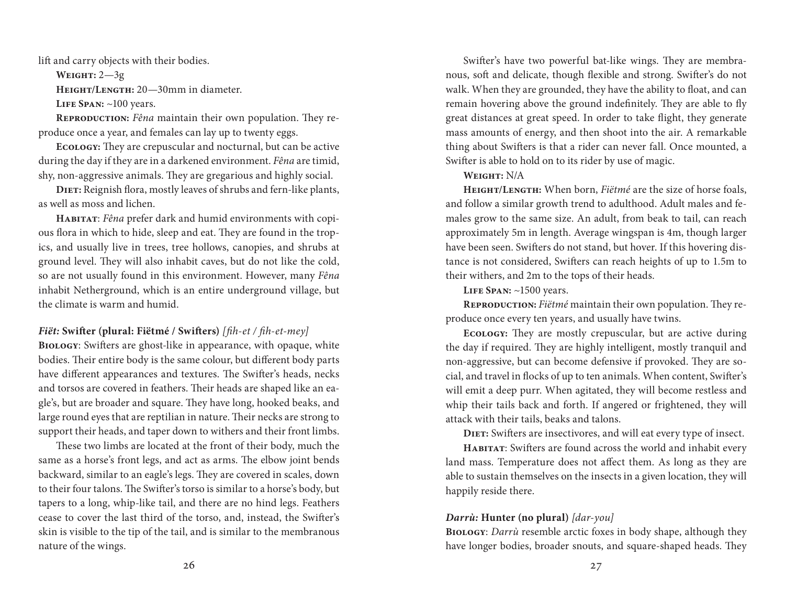lift and carry objects with their bodies.

**Weight:** 2—3g

**Height/Length:** 20—30mm in diameter.

LIFE SPAN: ~100 years.

**REPRODUCTION:** Fêna maintain their own population. They reproduce once a year, and females can lay up to twenty eggs.

**Ecology:** They are crepuscular and nocturnal, but can be active during the day if they are in a darkened environment. *Fêna* are timid, shy, non-aggressive animals. They are gregarious and highly social.

**Diet:** Reignish flora, mostly leaves of shrubs and fern-like plants, as well as moss and lichen.

**Habitat**: *Fêna* prefer dark and humid environments with copious flora in which to hide, sleep and eat. They are found in the tropics, and usually live in trees, tree hollows, canopies, and shrubs at ground level. They will also inhabit caves, but do not like the cold, so are not usually found in this environment. However, many *Fêna*  inhabit Netherground, which is an entire underground village, but the climate is warm and humid.

### *Fiët:* **Swifter (plural: Fiëtmé / Swifters)** *[fih-et / fih-et-mey]*

**Biology**: Swifters are ghost-like in appearance, with opaque, white bodies. Their entire body is the same colour, but different body parts have different appearances and textures. The Swifter's heads, necks and torsos are covered in feathers. Their heads are shaped like an eagle's, but are broader and square. They have long, hooked beaks, and large round eyes that are reptilian in nature. Their necks are strong to support their heads, and taper down to withers and their front limbs.

These two limbs are located at the front of their body, much the same as a horse's front legs, and act as arms. The elbow joint bends backward, similar to an eagle's legs. They are covered in scales, down to their four talons. The Swifter's torso is similar to a horse's body, but tapers to a long, whip-like tail, and there are no hind legs. Feathers cease to cover the last third of the torso, and, instead, the Swifter's skin is visible to the tip of the tail, and is similar to the membranous nature of the wings.

Swifter's have two powerful bat-like wings. They are membranous, soft and delicate, though flexible and strong. Swifter's do not walk. When they are grounded, they have the ability to float, and can remain hovering above the ground indefinitely. They are able to fly great distances at great speed. In order to take flight, they generate mass amounts of energy, and then shoot into the air. A remarkable thing about Swifters is that a rider can never fall. Once mounted, a Swifter is able to hold on to its rider by use of magic.

#### **Weight:** N/A

**Height/Length:** When born, *Fiëtmé* are the size of horse foals, and follow a similar growth trend to adulthood. Adult males and females grow to the same size. An adult, from beak to tail, can reach approximately 5m in length. Average wingspan is 4m, though larger have been seen. Swifters do not stand, but hover. If this hovering distance is not considered, Swifters can reach heights of up to 1.5m to their withers, and 2m to the tops of their heads.

**Life Span:** ~1500 years.

**Reproduction:** *Fiëtmé* maintain their own population. They reproduce once every ten years, and usually have twins.

**Ecology:** They are mostly crepuscular, but are active during the day if required. They are highly intelligent, mostly tranquil and non-aggressive, but can become defensive if provoked. They are social, and travel in flocks of up to ten animals. When content, Swifter's will emit a deep purr. When agitated, they will become restless and whip their tails back and forth. If angered or frightened, they will attack with their tails, beaks and talons.

**DIET:** Swifters are insectivores, and will eat every type of insect.

**Habitat**: Swifters are found across the world and inhabit every land mass. Temperature does not affect them. As long as they are able to sustain themselves on the insects in a given location, they will happily reside there.

### *Darrù:* **Hunter (no plural)** *[dar-you]*

**Biology**: *Darrù* resemble arctic foxes in body shape, although they have longer bodies, broader snouts, and square-shaped heads. They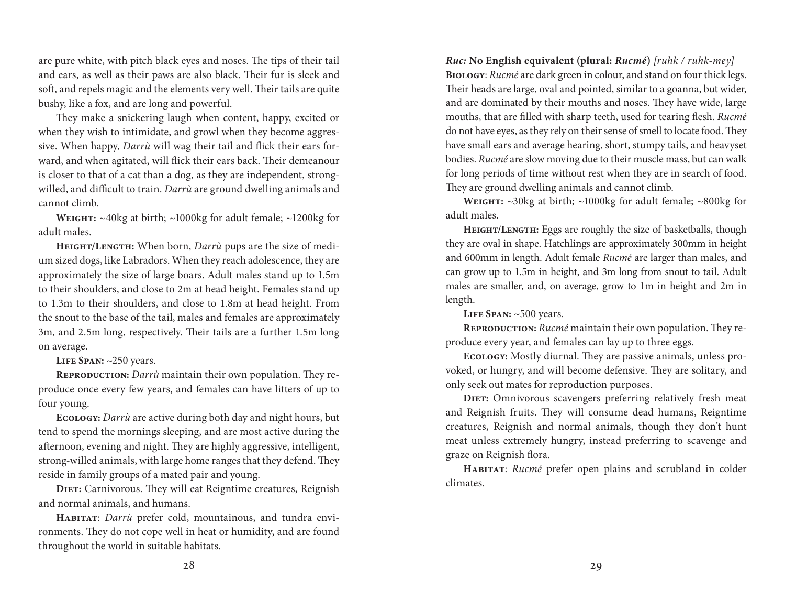are pure white, with pitch black eyes and noses. The tips of their tail and ears, as well as their paws are also black. Their fur is sleek and soft, and repels magic and the elements very well. Their tails are quite bushy, like a fox, and are long and powerful.

They make a snickering laugh when content, happy, excited or when they wish to intimidate, and growl when they become aggressive. When happy, *Darrù* will wag their tail and flick their ears forward, and when agitated, will flick their ears back. Their demeanour is closer to that of a cat than a dog, as they are independent, strongwilled, and difficult to train. *Darrù* are ground dwelling animals and cannot climb.

**Weight:** ~40kg at birth; ~1000kg for adult female; ~1200kg for adult males.

**Height/Length:** When born, *Darrù* pups are the size of medium sized dogs, like Labradors. When they reach adolescence, they are approximately the size of large boars. Adult males stand up to 1.5m to their shoulders, and close to 2m at head height. Females stand up to 1.3m to their shoulders, and close to 1.8m at head height. From the snout to the base of the tail, males and females are approximately 3m, and 2.5m long, respectively. Their tails are a further 1.5m long on average.

**Life Span:** ~250 years.

**Reproduction:** *Darrù* maintain their own population. They reproduce once every few years, and females can have litters of up to four young.

**Ecology:** *Darrù* are active during both day and night hours, but tend to spend the mornings sleeping, and are most active during the afternoon, evening and night. They are highly aggressive, intelligent, strong-willed animals, with large home ranges that they defend. They reside in family groups of a mated pair and young.

**Diet:** Carnivorous. They will eat Reigntime creatures, Reignish and normal animals, and humans.

**Habitat**: *Darrù* prefer cold, mountainous, and tundra environments. They do not cope well in heat or humidity, and are found throughout the world in suitable habitats.

*Ruc:* **No English equivalent (plural:** *Rucmé***)** *[ruhk / ruhk-mey]* **Biology**: *Rucmé* are dark green in colour, and stand on four thick legs. Their heads are large, oval and pointed, similar to a goanna, but wider, and are dominated by their mouths and noses. They have wide, large mouths, that are filled with sharp teeth, used for tearing flesh. *Rucmé* do not have eyes, as they rely on their sense of smell to locate food. They have small ears and average hearing, short, stumpy tails, and heavyset bodies. *Rucmé* are slow moving due to their muscle mass, but can walk for long periods of time without rest when they are in search of food. They are ground dwelling animals and cannot climb.

**Weight:** ~30kg at birth; ~1000kg for adult female; ~800kg for adult males.

**Height/Length:** Eggs are roughly the size of basketballs, though they are oval in shape. Hatchlings are approximately 300mm in height and 600mm in length. Adult female *Rucmé* are larger than males, and can grow up to 1.5m in height, and 3m long from snout to tail. Adult males are smaller, and, on average, grow to 1m in height and 2m in length.

**Life Span:** ~500 years.

**Reproduction:** *Rucmé* maintain their own population. They reproduce every year, and females can lay up to three eggs.

**Ecology:** Mostly diurnal. They are passive animals, unless provoked, or hungry, and will become defensive. They are solitary, and only seek out mates for reproduction purposes.

**DIET:** Omnivorous scavengers preferring relatively fresh meat and Reignish fruits. They will consume dead humans, Reigntime creatures, Reignish and normal animals, though they don't hunt meat unless extremely hungry, instead preferring to scavenge and graze on Reignish flora.

**Habitat**: *Rucmé* prefer open plains and scrubland in colder climates.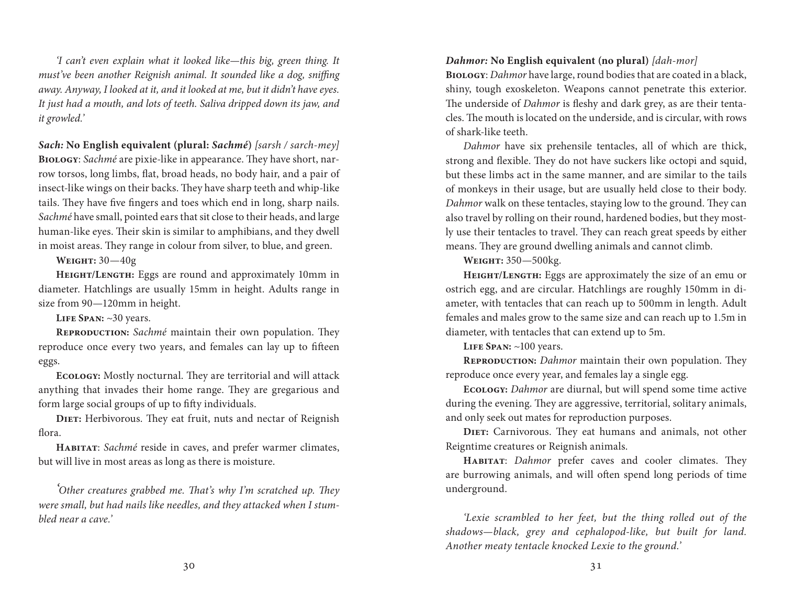*'I can't even explain what it looked like—this big, green thing. It must've been another Reignish animal. It sounded like a dog, sniffing away. Anyway, I looked at it, and it looked at me, but it didn't have eyes. It just had a mouth, and lots of teeth. Saliva dripped down its jaw, and it growled.'*

*Sach:* **No English equivalent (plural:** *Sachmé***)** *[sarsh / sarch-mey]* **Biology**: *Sachmé* are pixie-like in appearance. They have short, narrow torsos, long limbs, flat, broad heads, no body hair, and a pair of insect-like wings on their backs. They have sharp teeth and whip-like tails. They have five fingers and toes which end in long, sharp nails. *Sachmé* have small, pointed ears that sit close to their heads, and large human-like eyes. Their skin is similar to amphibians, and they dwell in moist areas. They range in colour from silver, to blue, and green.

**Weight:** 30—40g

**Height/Length:** Eggs are round and approximately 10mm in diameter. Hatchlings are usually 15mm in height. Adults range in size from 90—120mm in height.

**Life Span:** ~30 years.

**Reproduction:** *Sachmé* maintain their own population. They reproduce once every two years, and females can lay up to fifteen eggs.

**Ecology:** Mostly nocturnal. They are territorial and will attack anything that invades their home range. They are gregarious and form large social groups of up to fifty individuals.

**Diet:** Herbivorous. They eat fruit, nuts and nectar of Reignish flora.

**Habitat**: *Sachmé* reside in caves, and prefer warmer climates, but will live in most areas as long as there is moisture.

*'Other creatures grabbed me. That's why I'm scratched up. They were small, but had nails like needles, and they attacked when I stumbled near a cave.'*

# *Dahmor:* **No English equivalent (no plural)** *[dah-mor]*

**Biology**: *Dahmor* have large, round bodies that are coated in a black, shiny, tough exoskeleton. Weapons cannot penetrate this exterior. The underside of *Dahmor* is fleshy and dark grey, as are their tentacles. The mouth is located on the underside, and is circular, with rows of shark-like teeth.

*Dahmor* have six prehensile tentacles, all of which are thick, strong and flexible. They do not have suckers like octopi and squid, but these limbs act in the same manner, and are similar to the tails of monkeys in their usage, but are usually held close to their body. *Dahmor* walk on these tentacles, staying low to the ground. They can also travel by rolling on their round, hardened bodies, but they mostly use their tentacles to travel. They can reach great speeds by either means. They are ground dwelling animals and cannot climb.

**Weight:** 350—500kg.

**Height/Length:** Eggs are approximately the size of an emu or ostrich egg, and are circular. Hatchlings are roughly 150mm in diameter, with tentacles that can reach up to 500mm in length. Adult females and males grow to the same size and can reach up to 1.5m in diameter, with tentacles that can extend up to 5m.

**Life Span:** ~100 years.

**REPRODUCTION:** *Dahmor* maintain their own population. They reproduce once every year, and females lay a single egg.

**Ecology:** *Dahmor* are diurnal, but will spend some time active during the evening. They are aggressive, territorial, solitary animals, and only seek out mates for reproduction purposes.

**Diet:** Carnivorous. They eat humans and animals, not other Reigntime creatures or Reignish animals.

**Habitat**: *Dahmor* prefer caves and cooler climates. They are burrowing animals, and will often spend long periods of time underground.

*'Lexie scrambled to her feet, but the thing rolled out of the shadows—black, grey and cephalopod-like, but built for land. Another meaty tentacle knocked Lexie to the ground.'*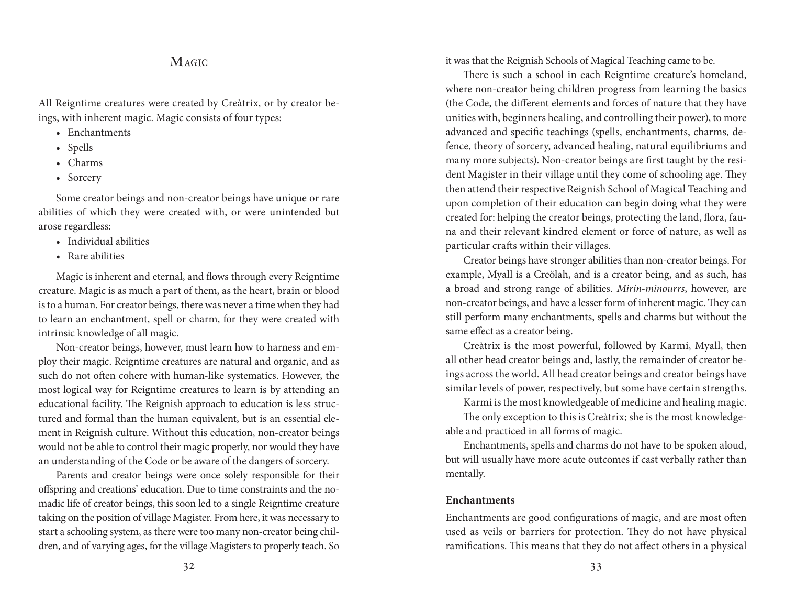# **MAGIC**

All Reigntime creatures were created by Creàtrix, or by creator beings, with inherent magic. Magic consists of four types:

- Enchantments
- Spells
- Charms
- Sorcery

Some creator beings and non-creator beings have unique or rare abilities of which they were created with, or were unintended but arose regardless:

- Individual abilities
- Rare abilities

Magic is inherent and eternal, and flows through every Reigntime creature. Magic is as much a part of them, as the heart, brain or blood is to a human. For creator beings, there was never a time when they had to learn an enchantment, spell or charm, for they were created with intrinsic knowledge of all magic.

Non-creator beings, however, must learn how to harness and employ their magic. Reigntime creatures are natural and organic, and as such do not often cohere with human-like systematics. However, the most logical way for Reigntime creatures to learn is by attending an educational facility. The Reignish approach to education is less structured and formal than the human equivalent, but is an essential element in Reignish culture. Without this education, non-creator beings would not be able to control their magic properly, nor would they have an understanding of the Code or be aware of the dangers of sorcery.

Parents and creator beings were once solely responsible for their offspring and creations' education. Due to time constraints and the nomadic life of creator beings, this soon led to a single Reigntime creature taking on the position of village Magister. From here, it was necessary to start a schooling system, as there were too many non-creator being children, and of varying ages, for the village Magisters to properly teach. So it was that the Reignish Schools of Magical Teaching came to be.

There is such a school in each Reigntime creature's homeland, where non-creator being children progress from learning the basics (the Code, the different elements and forces of nature that they have unities with, beginners healing, and controlling their power), to more advanced and specific teachings (spells, enchantments, charms, defence, theory of sorcery, advanced healing, natural equilibriums and many more subjects). Non-creator beings are first taught by the resident Magister in their village until they come of schooling age. They then attend their respective Reignish School of Magical Teaching and upon completion of their education can begin doing what they were created for: helping the creator beings, protecting the land, flora, fauna and their relevant kindred element or force of nature, as well as particular crafts within their villages.

Creator beings have stronger abilities than non-creator beings. For example, Myall is a Creölah, and is a creator being, and as such, has a broad and strong range of abilities. *Mirin-minourrs*, however, are non-creator beings, and have a lesser form of inherent magic. They can still perform many enchantments, spells and charms but without the same effect as a creator being.

Creàtrix is the most powerful, followed by Karmi, Myall, then all other head creator beings and, lastly, the remainder of creator beings across the world. All head creator beings and creator beings have similar levels of power, respectively, but some have certain strengths.

Karmi is the most knowledgeable of medicine and healing magic.

The only exception to this is Creàtrix; she is the most knowledgeable and practiced in all forms of magic.

Enchantments, spells and charms do not have to be spoken aloud, but will usually have more acute outcomes if cast verbally rather than mentally.

### **Enchantments**

Enchantments are good configurations of magic, and are most often used as veils or barriers for protection. They do not have physical ramifications. This means that they do not affect others in a physical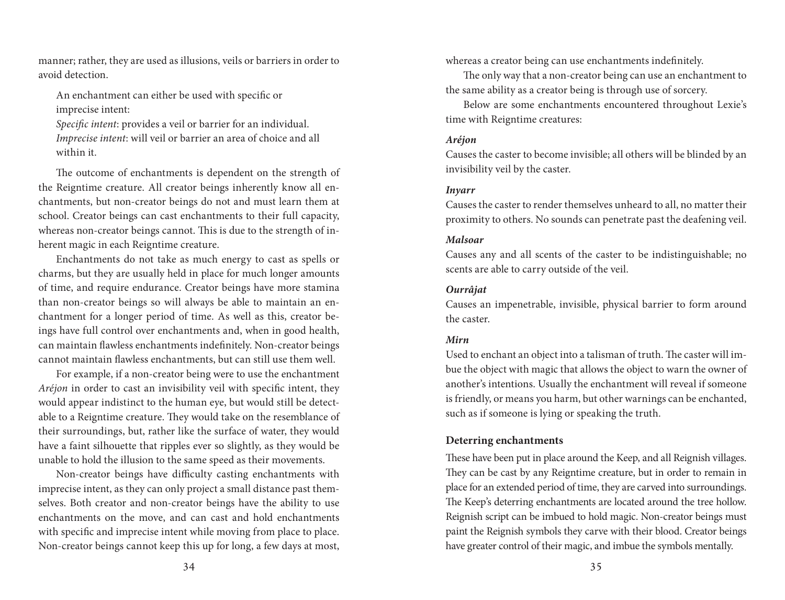manner; rather, they are used as illusions, veils or barriers in order to avoid detection.

An enchantment can either be used with specific or imprecise intent:

*Specific intent*: provides a veil or barrier for an individual. *Imprecise intent*: will veil or barrier an area of choice and all within it.

The outcome of enchantments is dependent on the strength of the Reigntime creature. All creator beings inherently know all enchantments, but non-creator beings do not and must learn them at school. Creator beings can cast enchantments to their full capacity, whereas non-creator beings cannot. This is due to the strength of inherent magic in each Reigntime creature.

Enchantments do not take as much energy to cast as spells or charms, but they are usually held in place for much longer amounts of time, and require endurance. Creator beings have more stamina than non-creator beings so will always be able to maintain an enchantment for a longer period of time. As well as this, creator beings have full control over enchantments and, when in good health, can maintain flawless enchantments indefinitely. Non-creator beings cannot maintain flawless enchantments, but can still use them well.

For example, if a non-creator being were to use the enchantment *Aréjon* in order to cast an invisibility veil with specific intent, they would appear indistinct to the human eye, but would still be detectable to a Reigntime creature. They would take on the resemblance of their surroundings, but, rather like the surface of water, they would have a faint silhouette that ripples ever so slightly, as they would be unable to hold the illusion to the same speed as their movements.

Non-creator beings have difficulty casting enchantments with imprecise intent, as they can only project a small distance past themselves. Both creator and non-creator beings have the ability to use enchantments on the move, and can cast and hold enchantments with specific and imprecise intent while moving from place to place. Non-creator beings cannot keep this up for long, a few days at most, whereas a creator being can use enchantments indefinitely.

The only way that a non-creator being can use an enchantment to the same ability as a creator being is through use of sorcery.

Below are some enchantments encountered throughout Lexie's time with Reigntime creatures:

#### *Aréjon*

Causes the caster to become invisible; all others will be blinded by an invisibility veil by the caster.

#### *Inyarr*

Causes the caster to render themselves unheard to all, no matter their proximity to others. No sounds can penetrate past the deafening veil.

#### *Malsoar*

Causes any and all scents of the caster to be indistinguishable; no scents are able to carry outside of the veil.

#### *Ourrâjat*

Causes an impenetrable, invisible, physical barrier to form around the caster.

#### *Mirn*

Used to enchant an object into a talisman of truth. The caster will imbue the object with magic that allows the object to warn the owner of another's intentions. Usually the enchantment will reveal if someone is friendly, or means you harm, but other warnings can be enchanted, such as if someone is lying or speaking the truth.

### **Deterring enchantments**

These have been put in place around the Keep, and all Reignish villages. They can be cast by any Reigntime creature, but in order to remain in place for an extended period of time, they are carved into surroundings. The Keep's deterring enchantments are located around the tree hollow. Reignish script can be imbued to hold magic. Non-creator beings must paint the Reignish symbols they carve with their blood. Creator beings have greater control of their magic, and imbue the symbols mentally.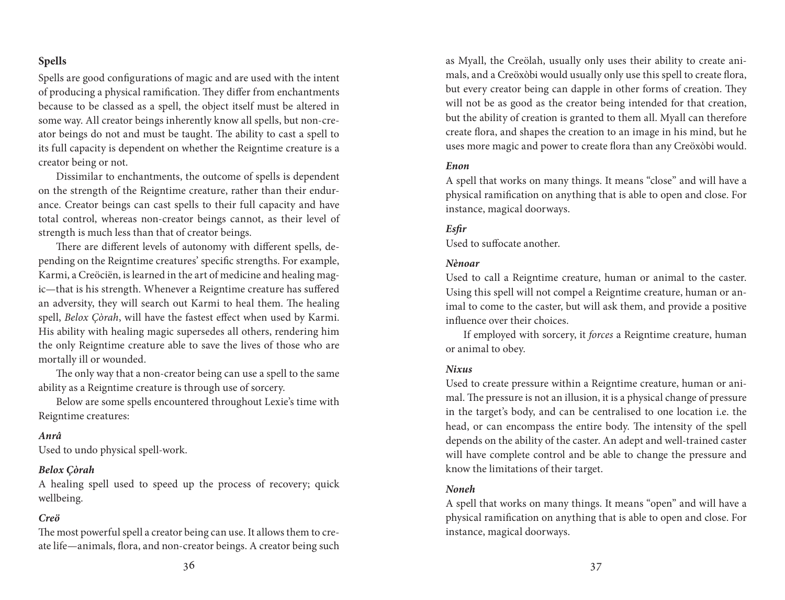## **Spells**

Spells are good configurations of magic and are used with the intent of producing a physical ramification. They differ from enchantments because to be classed as a spell, the object itself must be altered in some way. All creator beings inherently know all spells, but non-creator beings do not and must be taught. The ability to cast a spell to its full capacity is dependent on whether the Reigntime creature is a creator being or not.

Dissimilar to enchantments, the outcome of spells is dependent on the strength of the Reigntime creature, rather than their endurance. Creator beings can cast spells to their full capacity and have total control, whereas non-creator beings cannot, as their level of strength is much less than that of creator beings.

There are different levels of autonomy with different spells, depending on the Reigntime creatures' specific strengths. For example, Karmi, a Creöciën, is learned in the art of medicine and healing magic—that is his strength. Whenever a Reigntime creature has suffered an adversity, they will search out Karmi to heal them. The healing spell, *Belox Çòrah*, will have the fastest effect when used by Karmi. His ability with healing magic supersedes all others, rendering him the only Reigntime creature able to save the lives of those who are mortally ill or wounded.

The only way that a non-creator being can use a spell to the same ability as a Reigntime creature is through use of sorcery.

Below are some spells encountered throughout Lexie's time with Reigntime creatures:

#### *Anrâ*

Used to undo physical spell-work.

### *Belox Çòrah*

A healing spell used to speed up the process of recovery; quick wellbeing.

#### *Creö*

The most powerful spell a creator being can use. It allows them to create life—animals, flora, and non-creator beings. A creator being such as Myall, the Creölah, usually only uses their ability to create animals, and a Creöxòbi would usually only use this spell to create flora, but every creator being can dapple in other forms of creation. They will not be as good as the creator being intended for that creation, but the ability of creation is granted to them all. Myall can therefore create flora, and shapes the creation to an image in his mind, but he uses more magic and power to create flora than any Creöxòbi would.

#### *Enon*

A spell that works on many things. It means "close" and will have a physical ramification on anything that is able to open and close. For instance, magical doorways.

#### *Esfir*

Used to suffocate another.

#### *Nènoar*

Used to call a Reigntime creature, human or animal to the caster. Using this spell will not compel a Reigntime creature, human or animal to come to the caster, but will ask them, and provide a positive influence over their choices.

If employed with sorcery, it *forces* a Reigntime creature, human or animal to obey.

#### *Nixus*

Used to create pressure within a Reigntime creature, human or animal. The pressure is not an illusion, it is a physical change of pressure in the target's body, and can be centralised to one location i.e. the head, or can encompass the entire body. The intensity of the spell depends on the ability of the caster. An adept and well-trained caster will have complete control and be able to change the pressure and know the limitations of their target.

#### *Noneh*

A spell that works on many things. It means "open" and will have a physical ramification on anything that is able to open and close. For instance, magical doorways.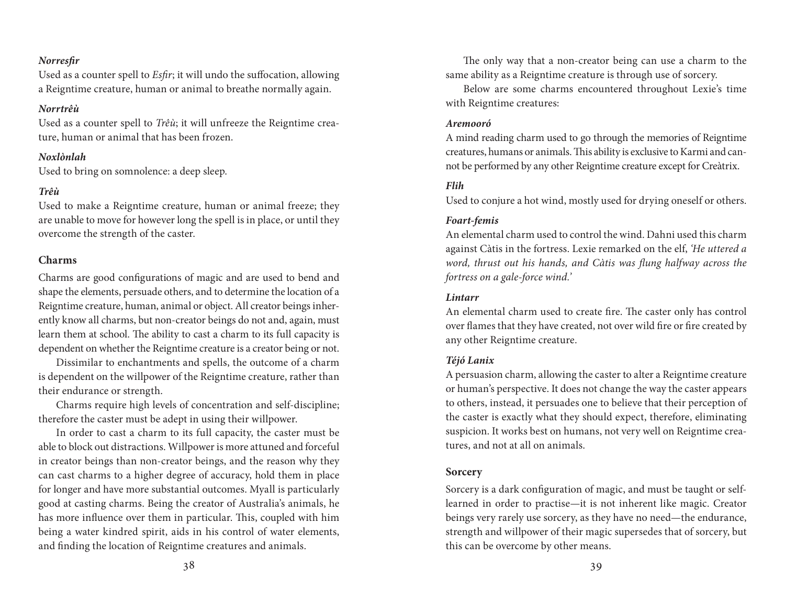### *Norresfir*

Used as a counter spell to *Esfir*; it will undo the suffocation, allowing a Reigntime creature, human or animal to breathe normally again.

### *Norrtrêù*

Used as a counter spell to *Trêù*; it will unfreeze the Reigntime creature, human or animal that has been frozen.

## *Noxlònlah*

Used to bring on somnolence: a deep sleep.

## *Trêù*

Used to make a Reigntime creature, human or animal freeze; they are unable to move for however long the spell is in place, or until they overcome the strength of the caster.

## **Charms**

Charms are good configurations of magic and are used to bend and shape the elements, persuade others, and to determine the location of a Reigntime creature, human, animal or object. All creator beings inherently know all charms, but non-creator beings do not and, again, must learn them at school. The ability to cast a charm to its full capacity is dependent on whether the Reigntime creature is a creator being or not.

Dissimilar to enchantments and spells, the outcome of a charm is dependent on the willpower of the Reigntime creature, rather than their endurance or strength.

Charms require high levels of concentration and self-discipline; therefore the caster must be adept in using their willpower.

In order to cast a charm to its full capacity, the caster must be able to block out distractions. Willpower is more attuned and forceful in creator beings than non-creator beings, and the reason why they can cast charms to a higher degree of accuracy, hold them in place for longer and have more substantial outcomes. Myall is particularly good at casting charms. Being the creator of Australia's animals, he has more influence over them in particular. This, coupled with him being a water kindred spirit, aids in his control of water elements, and finding the location of Reigntime creatures and animals.

The only way that a non-creator being can use a charm to the same ability as a Reigntime creature is through use of sorcery.

Below are some charms encountered throughout Lexie's time with Reigntime creatures:

## *Aremooró*

A mind reading charm used to go through the memories of Reigntime creatures, humans or animals. This ability is exclusive to Karmi and cannot be performed by any other Reigntime creature except for Creàtrix.

## *Flih*

Used to conjure a hot wind, mostly used for drying oneself or others.

## *Foart-femis*

An elemental charm used to control the wind. Dahni used this charm against Càtis in the fortress. Lexie remarked on the elf, *'He uttered a word, thrust out his hands, and Càtis was flung halfway across the fortress on a gale-force wind.'*

## *Lintarr*

An elemental charm used to create fire. The caster only has control over flames that they have created, not over wild fire or fire created by any other Reigntime creature.

### *Téjó Lanix*

A persuasion charm, allowing the caster to alter a Reigntime creature or human's perspective. It does not change the way the caster appears to others, instead, it persuades one to believe that their perception of the caster is exactly what they should expect, therefore, eliminating suspicion. It works best on humans, not very well on Reigntime creatures, and not at all on animals.

## **Sorcery**

Sorcery is a dark configuration of magic, and must be taught or selflearned in order to practise—it is not inherent like magic. Creator beings very rarely use sorcery, as they have no need—the endurance, strength and willpower of their magic supersedes that of sorcery, but this can be overcome by other means.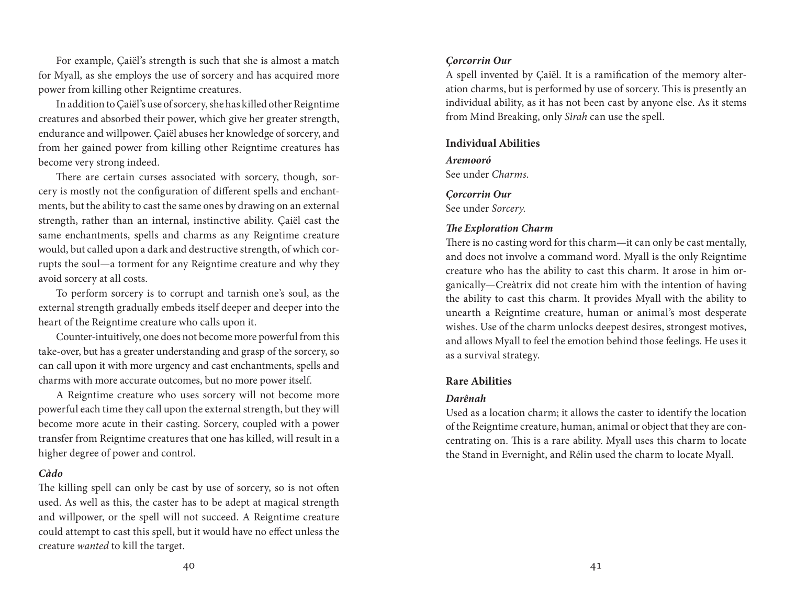For example, Çaiël's strength is such that she is almost a match for Myall, as she employs the use of sorcery and has acquired more power from killing other Reigntime creatures.

In addition to Çaiël's use of sorcery, she has killed other Reigntime creatures and absorbed their power, which give her greater strength, endurance and willpower. Çaiël abuses her knowledge of sorcery, and from her gained power from killing other Reigntime creatures has become very strong indeed.

There are certain curses associated with sorcery, though, sorcery is mostly not the configuration of different spells and enchantments, but the ability to cast the same ones by drawing on an external strength, rather than an internal, instinctive ability. Çaiël cast the same enchantments, spells and charms as any Reigntime creature would, but called upon a dark and destructive strength, of which corrupts the soul—a torment for any Reigntime creature and why they avoid sorcery at all costs.

To perform sorcery is to corrupt and tarnish one's soul, as the external strength gradually embeds itself deeper and deeper into the heart of the Reigntime creature who calls upon it.

Counter-intuitively, one does not become more powerful from this take-over, but has a greater understanding and grasp of the sorcery, so can call upon it with more urgency and cast enchantments, spells and charms with more accurate outcomes, but no more power itself.

A Reigntime creature who uses sorcery will not become more powerful each time they call upon the external strength, but they will become more acute in their casting. Sorcery, coupled with a power transfer from Reigntime creatures that one has killed, will result in a higher degree of power and control.

### *Càdo*

The killing spell can only be cast by use of sorcery, so is not often used. As well as this, the caster has to be adept at magical strength and willpower, or the spell will not succeed. A Reigntime creature could attempt to cast this spell, but it would have no effect unless the creature *wanted* to kill the target.

#### *Çorcorrin Our*

A spell invented by Çaiël. It is a ramification of the memory alteration charms, but is performed by use of sorcery. This is presently an individual ability, as it has not been cast by anyone else. As it stems from Mind Breaking, only *Sìrah* can use the spell.

### **Individual Abilities**

#### *Aremooró*

See under *Charms*.

#### *Çorcorrin Our*

See under *Sorcery*.

## *The Exploration Charm*

There is no casting word for this charm—it can only be cast mentally, and does not involve a command word. Myall is the only Reigntime creature who has the ability to cast this charm. It arose in him organically—Creàtrix did not create him with the intention of having the ability to cast this charm. It provides Myall with the ability to unearth a Reigntime creature, human or animal's most desperate wishes. Use of the charm unlocks deepest desires, strongest motives, and allows Myall to feel the emotion behind those feelings. He uses it as a survival strategy.

#### **Rare Abilities**

### *Darênah*

Used as a location charm; it allows the caster to identify the location of the Reigntime creature, human, animal or object that they are concentrating on. This is a rare ability. Myall uses this charm to locate the Stand in Evernight, and Rélin used the charm to locate Myall.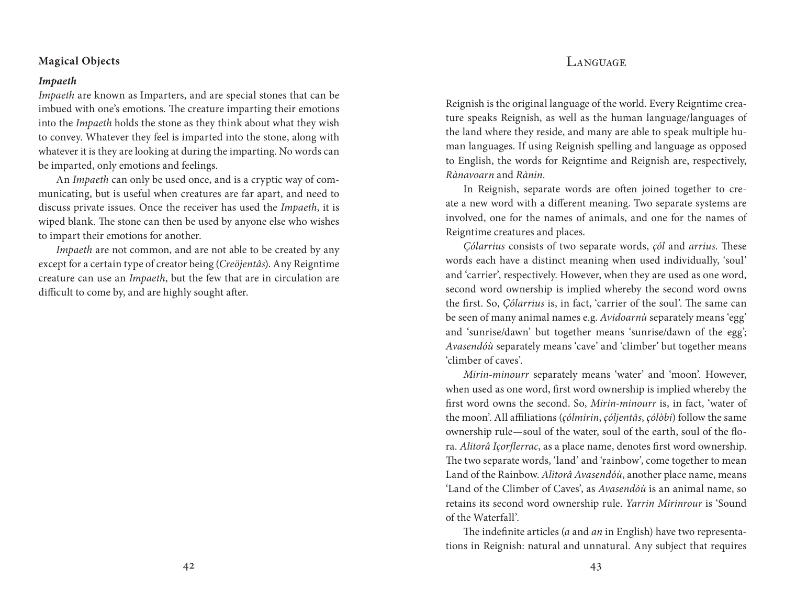# LANGUAGE

## **Magical Objects**

#### *Impaeth*

*Impaeth* are known as Imparters, and are special stones that can be imbued with one's emotions. The creature imparting their emotions into the *Impaeth* holds the stone as they think about what they wish to convey. Whatever they feel is imparted into the stone, along with whatever it is they are looking at during the imparting. No words can be imparted, only emotions and feelings.

An *Impaeth* can only be used once, and is a cryptic way of communicating, but is useful when creatures are far apart, and need to discuss private issues. Once the receiver has used the *Impaeth*, it is wiped blank. The stone can then be used by anyone else who wishes to impart their emotions for another.

*Impaeth* are not common, and are not able to be created by any except for a certain type of creator being (*Creöjentâs*). Any Reigntime creature can use an *Impaeth*, but the few that are in circulation are difficult to come by, and are highly sought after.

Reignish is the original language of the world. Every Reigntime creature speaks Reignish, as well as the human language/languages of the land where they reside, and many are able to speak multiple human languages. If using Reignish spelling and language as opposed to English, the words for Reigntime and Reignish are, respectively, *Rànavoarn* and *Rànin*.

In Reignish, separate words are often joined together to create a new word with a different meaning. Two separate systems are involved, one for the names of animals, and one for the names of Reigntime creatures and places.

*Çólarrius* consists of two separate words, *çól* and *arrius*. These words each have a distinct meaning when used individually, 'soul' and 'carrier', respectively. However, when they are used as one word, second word ownership is implied whereby the second word owns the first. So, *Çólarrius* is, in fact, 'carrier of the soul'. The same can be seen of many animal names e.g. *Avidoarnù* separately means 'egg' and 'sunrise/dawn' but together means 'sunrise/dawn of the egg'; *Avasendóù* separately means 'cave' and 'climber' but together means 'climber of caves'.

*Mirin-minourr* separately means 'water' and 'moon'. However, when used as one word, first word ownership is implied whereby the first word owns the second. So, *Mirin-minourr* is, in fact, 'water of the moon'. All affiliations (*çólmirin*, *çóljentâs*, *çólòbi*) follow the same ownership rule—soul of the water, soul of the earth, soul of the flora. *Alitorâ Içorflerrac*, as a place name, denotes first word ownership. The two separate words, 'land' and 'rainbow', come together to mean Land of the Rainbow. *Alitorâ Avasendóù*, another place name, means 'Land of the Climber of Caves', as *Avasendóù* is an animal name, so retains its second word ownership rule. *Yarrin Mirinrour* is 'Sound of the Waterfall'.

The indefinite articles (*a* and *an* in English) have two representations in Reignish: natural and unnatural. Any subject that requires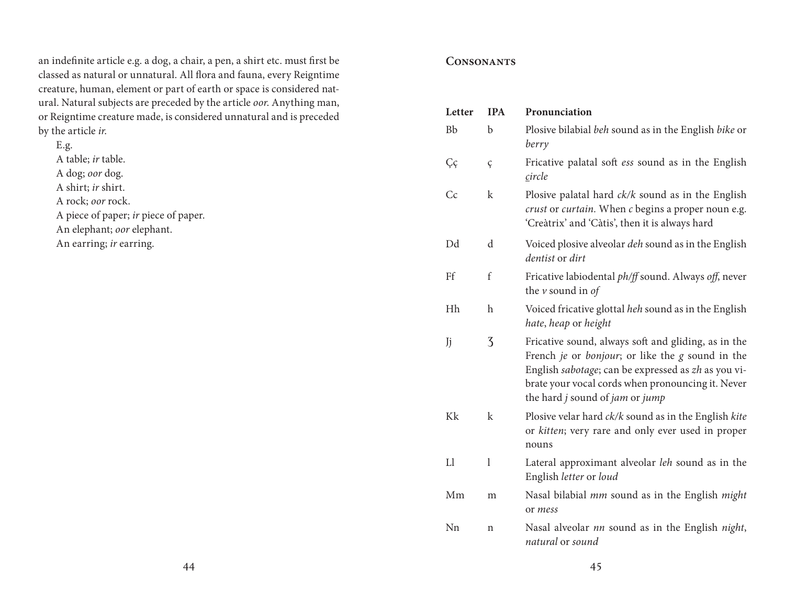an indefinite article e.g. a dog, a chair, a pen, a shirt etc. must first be classed as natural or unnatural. All flora and fauna, every Reigntime creature, human, element or part of earth or space is considered natural. Natural subjects are preceded by the article *oor*. Anything man, or Reigntime creature made, is considered unnatural and is preceded by the article *ir*.

E.g. A table; *ir* table. A dog; *oor* dog. A shirt; *ir* shirt. A rock; *oor* rock. A piece of paper; *ir* piece of paper. An elephant; *oor* elephant. An earring; *ir* earring.

# **Consonants**

| Letter      | <b>IPA</b>   | Pronunciation                                                                                                                                                                                                                                          |
|-------------|--------------|--------------------------------------------------------------------------------------------------------------------------------------------------------------------------------------------------------------------------------------------------------|
| <b>Bb</b>   | $\mathbf b$  | Plosive bilabial beh sound as in the English bike or<br>berry                                                                                                                                                                                          |
| Çç          | ç            | Fricative palatal soft ess sound as in the English<br>circle                                                                                                                                                                                           |
| Cc          | k            | Plosive palatal hard $ck/k$ sound as in the English<br>crust or curtain. When c begins a proper noun e.g.<br>'Creàtrix' and 'Càtis', then it is always hard                                                                                            |
| Dd          | $\rm d$      | Voiced plosive alveolar <i>deh</i> sound as in the English<br>dentist or dirt                                                                                                                                                                          |
| Ff          | f            | Fricative labiodental ph/ff sound. Always off, never<br>the $\nu$ sound in of                                                                                                                                                                          |
| Hh          | $\mathbf{h}$ | Voiced fricative glottal heh sound as in the English<br>hate, heap or height                                                                                                                                                                           |
| Jj          | 3            | Fricative sound, always soft and gliding, as in the<br>French je or bonjour; or like the g sound in the<br>English sabotage; can be expressed as zh as you vi-<br>brate your vocal cords when pronouncing it. Never<br>the hard j sound of jam or jump |
| Kk          | k            | Plosive velar hard $ck/k$ sound as in the English $kite$<br>or kitten; very rare and only ever used in proper<br>nouns                                                                                                                                 |
| $_{\rm L1}$ | 1            | Lateral approximant alveolar <i>leh</i> sound as in the<br>English letter or loud                                                                                                                                                                      |
| Mm          | m            | Nasal bilabial mm sound as in the English might<br>or mess                                                                                                                                                                                             |
| Nn          | n            | Nasal alveolar nn sound as in the English night,<br>natural or sound                                                                                                                                                                                   |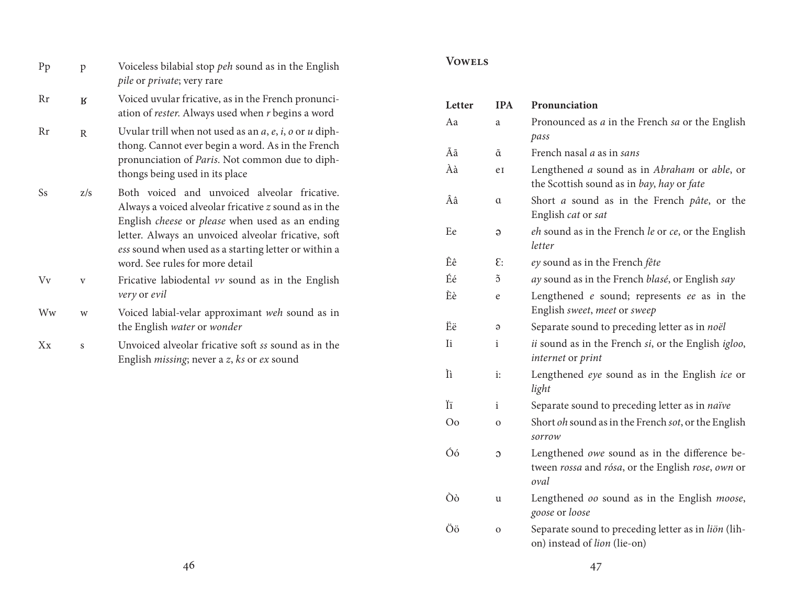- Pp p Voiceless bilabial stop *peh* sound as in the English *pile* or *private*; very rare
- Rr ʁ Voiced uvular fricative, as in the French pronunci ation of *rester*. Always used when *r* begins a word
- Rr r Uvular trill when not used as an *a*, *e*, *i*, *o* or *u* diph thong. Cannot ever begin a word. As in the French pronunciation of *Paris*. Not common due to diph thongs being used in its place
- Ss z/s Both voiced and unvoiced alveolar fricative. Always a voiced alveolar fricative *z* sound as in the English *cheese* or *please* when used as an ending letter. Always an unvoiced alveolar fricative, soft *ess* sound when used as a starting letter or within a word. See rules for more detail
- Vv v Fricative labiodental *vv* sound as in the English *very* or *evil*
- Ww w Voiced labial-velar approximant *weh* sound as in the English *water* or *wonder*
- Xx s Unvoiced alveolar fricative soft *ss* sound as in the English *missing*; never a *z*, *ks* or *ex* sound

## **Vowels**

| Letter         | <b>IPA</b>     | Pronunciation                                                                                              |
|----------------|----------------|------------------------------------------------------------------------------------------------------------|
| Aa             | a              | Pronounced as <i>a</i> in the French <i>sa</i> or the English<br>pass                                      |
| Ãã             | ã              | French nasal <i>a</i> as in sans                                                                           |
| Àà             | eI             | Lengthened a sound as in Abraham or able, or<br>the Scottish sound as in bay, hay or fate                  |
| Ââ             | α              | Short <i>a</i> sound as in the French <i>pâte</i> , or the<br>English cat or sat                           |
| Ee             | Э              | eh sound as in the French le or ce, or the English<br>letter                                               |
| Êê             | $\epsilon$ :   | ey sound as in the French fête                                                                             |
| Éé             | $\tilde{O}$    | ay sound as in the French blasé, or English say                                                            |
| Èè             | e              | Lengthened e sound; represents ee as in the<br>English sweet, meet or sweep                                |
| Ëë             | $\Theta$       | Separate sound to preceding letter as in noël                                                              |
| <b>Ii</b>      | i              | <i>ii</i> sound as in the French si, or the English igloo,<br><i>internet</i> or <i>print</i>              |
| Ìì             | i:             | Lengthened eye sound as in the English ice or<br>light                                                     |
| Ϊï             | i              | Separate sound to preceding letter as in naïve                                                             |
| O <sub>o</sub> | $\mathbf{O}$   | Short <i>oh</i> sound as in the French <i>sot</i> , or the English<br>sorrow                               |
| Óó             | C              | Lengthened owe sound as in the difference be-<br>tween rossa and rósa, or the English rose, own or<br>oval |
| Òò             | u              | Lengthened oo sound as in the English moose,<br>goose or loose                                             |
| Öö             | $\overline{O}$ | Separate sound to preceding letter as in liön (lih-<br>on) instead of lion (lie-on)                        |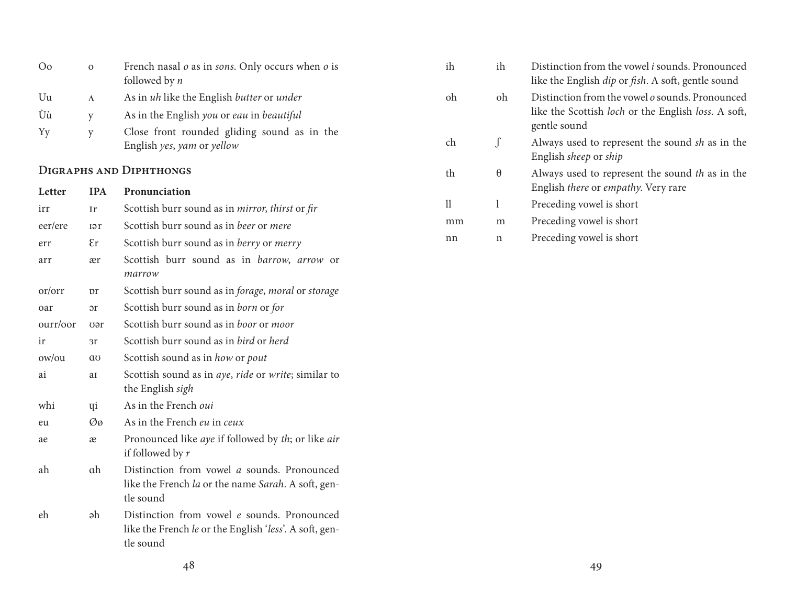| O <sub>0</sub>                 | $\mathbf{O}$               | French nasal $o$ as in <i>sons</i> . Only occurs when $o$ is<br>followed by $n$ | ih | ih          | Distinction from the vowel <i>i</i> sounds. Pronounced<br>like the English dip or fish. A soft, gentle sound |
|--------------------------------|----------------------------|---------------------------------------------------------------------------------|----|-------------|--------------------------------------------------------------------------------------------------------------|
| Uu                             | $\Lambda$                  | As in uh like the English butter or under                                       | oh | oh          | Distinction from the vowel o sounds. Pronounced                                                              |
| Ùù                             | V                          | As in the English you or eau in beautiful                                       |    |             | like the Scottish loch or the English loss. A soft,                                                          |
| Yy                             | $\mathbf v$                | Close front rounded gliding sound as in the                                     |    |             | gentle sound                                                                                                 |
|                                |                            | English yes, yam or yellow                                                      | ch |             | Always used to represent the sound sh as in the<br>English sheep or ship                                     |
| <b>DIGRAPHS AND DIPHTHONGS</b> |                            |                                                                                 | th | $\theta$    | Always used to represent the sound th as in the                                                              |
| Letter                         | <b>IPA</b>                 | Pronunciation                                                                   |    |             | English there or empathy. Very rare                                                                          |
| irr                            | Ir                         | Scottish burr sound as in <i>mirror</i> , <i>thirst</i> or <i>fir</i>           | 11 |             | Preceding vowel is short                                                                                     |
| eer/ere                        | <b>I</b> $\Theta$ <b>r</b> | Scottish burr sound as in beer or mere                                          | mm | m           | Preceding vowel is short                                                                                     |
| err                            | $\epsilon$ r               | Scottish burr sound as in berry or merry                                        | nn | $\mathbf n$ | Preceding vowel is short                                                                                     |
| arr                            | ær                         | Scottish burr sound as in barrow, arrow or                                      |    |             |                                                                                                              |
|                                |                            | marrow                                                                          |    |             |                                                                                                              |
| or/orr                         | pr                         | Scottish burr sound as in forage, moral or storage                              |    |             |                                                                                                              |
| oar                            | or                         | Scottish burr sound as in born or for                                           |    |             |                                                                                                              |
| ourr/oor                       | vər                        | Scottish burr sound as in boor or moor                                          |    |             |                                                                                                              |
| ir                             | 3r                         | Scottish burr sound as in bird or herd                                          |    |             |                                                                                                              |

48 49

ow/ou ɑʊ Scottish sound as in *how* or *pout*

whi **qi** As in the French *oui* 

eu Øø As in the French *eu* in *ceux*

tle sound

tle sound

the English *sigh*

if followed by *r*

ai aɪ Scottish sound as in *aye*, *ride* or *write*; similar to

ae æ Pronounced like *aye* if followed by *th*; or like *air*

ah ɑh Distinction from vowel *a* sounds. Pronounced

eh ǝh Distinction from vowel *e* sounds. Pronounced

like the French *la* or the name *Sarah*. A soft, gen-

like the French *le* or the English '*less*'. A soft, gen-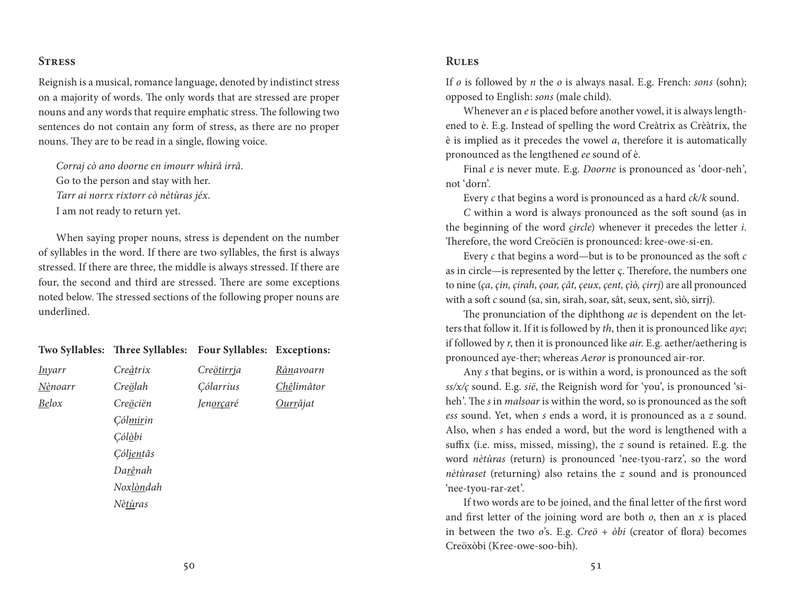## **Stress**

Reignish is a musical, romance language, denoted by indistinct stress on a majority of words. The only words that are stressed are proper nouns and any words that require emphatic stress. The following two sentences do not contain any form of stress, as there are no proper nouns. They are to be read in a single, flowing voice.

*Corraj cò ano doorne en imourr whirâ irrâ.*  Go to the person and stay with her. *Tarr ai norrx rixtorr cò nètùras jéx*. I am not ready to return yet.

When saying proper nouns, stress is dependent on the number of syllables in the word. If there are two syllables, the first is always stressed. If there are three, the middle is always stressed. If there are four, the second and third are stressed. There are some exceptions noted below. The stressed sections of the following proper nouns are underlined.

| Two Syllables: Three Syllables: |                     |                                    |
|---------------------------------|---------------------|------------------------------------|
| Creàtrix                        | Cre <u>ötirrj</u> a | Rànavoarn                          |
| Creölah                         | Cólarrius           | Chêlimâtor                         |
| Creöciën                        | Jen <u>orça</u> ré  | <u>Ourr</u> âjat                   |
| <i>Cólmirin</i>                 |                     |                                    |
| Cól <u>ò</u> bi                 |                     |                                    |
| Cóljentâs                       |                     |                                    |
| Darênah                         |                     |                                    |
| Noxlòndah                       |                     |                                    |
| Nètùras                         |                     |                                    |
|                                 |                     | <b>Four Syllables: Exceptions:</b> |

## **Rules**

If *o* is followed by *n* the *o* is always nasal. E.g. French: *sons* (sohn); opposed to English: *sons* (male child).

Whenever an *e* is placed before another vowel, it is always lengthened to è. E.g. Instead of spelling the word Creàtrix as Crèàtrix, the è is implied as it precedes the vowel *a*, therefore it is automatically pronounced as the lengthened *ee* sound of è.

Final *e* is never mute. E.g. *Doorne* is pronounced as 'door-neh', not 'dorn'.

Every *c* that begins a word is pronounced as a hard *ck/k* sound.

*C* within a word is always pronounced as the soft sound (as in the beginning of the word *circle*) whenever it precedes the letter *i*. Therefore, the word Creöciën is pronounced: kree-owe-si-en.

Every *c* that begins a word—but is to be pronounced as the soft *c*  as in circle—is represented by the letter ç. Therefore, the numbers one to nine (*ça, çin, çirah, çoar, çât, çeux, çent, çìò, çirrj*) are all pronounced with a soft *c* sound (sa, sin, sirah, soar, sât, seux, sent, sìò, sirrj).

The pronunciation of the diphthong *ae* is dependent on the letters that follow it. If it is followed by *th*, then it is pronounced like *aye*; if followed by *r*, then it is pronounced like *air*. E.g. aether/aethering is pronounced aye-ther; whereas *Aeror* is pronounced air-ror.

Any *s* that begins, or is within a word, is pronounced as the soft *ss/x/ç* sound. E.g. *sië*, the Reignish word for 'you', is pronounced 'siheh'. The *s* in *malsoar* is within the word, so is pronounced as the soft *ess* sound. Yet, when *s* ends a word, it is pronounced as a *z* sound. Also, when *s* has ended a word, but the word is lengthened with a suffix (i.e. miss, missed, missing), the *z* sound is retained. E.g. the word *nètùras* (return) is pronounced 'nee-tyou-rarz', so the word *nètùraset* (returning) also retains the *z* sound and is pronounced 'nee-tyou-rar-zet'.

If two words are to be joined, and the final letter of the first word and first letter of the joining word are both *o*, then an *x* is placed in between the two *o*'s. E.g. *Creö* + *òbi* (creator of flora) becomes Creöxòbi (Kree-owe-soo-bih).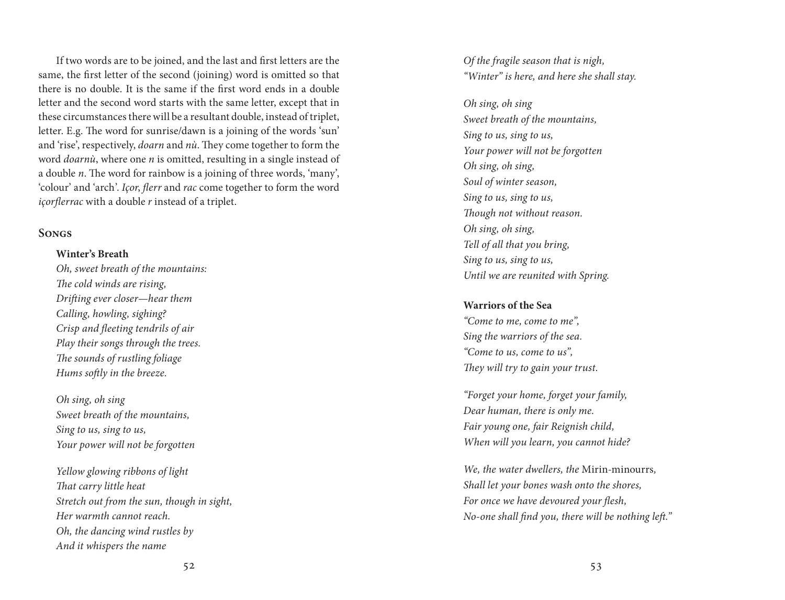If two words are to be joined, and the last and first letters are the same, the first letter of the second (joining) word is omitted so that there is no double. It is the same if the first word ends in a double letter and the second word starts with the same letter, except that in these circumstances there will be a resultant double, instead of triplet, letter. E.g. The word for sunrise/dawn is a joining of the words 'sun' and 'rise', respectively, *doarn* and *nù*. They come together to form the word *doarnù*, where one *n* is omitted, resulting in a single instead of a double *n*. The word for rainbow is a joining of three words, 'many', 'colour' and 'arch'. *Içor*, *flerr* and *rac* come together to form the word *içorflerrac* with a double *r* instead of a triplet.

## **Songs**

### **Winter's Breath**

*Oh, sweet breath of the mountains: The cold winds are rising, Drifting ever closer—hear them Calling, howling, sighing? Crisp and fleeting tendrils of air Play their songs through the trees. The sounds of rustling foliage Hums softly in the breeze.*

*Oh sing, oh sing Sweet breath of the mountains, Sing to us, sing to us, Your power will not be forgotten* 

*Yellow glowing ribbons of light That carry little heat Stretch out from the sun, though in sight, Her warmth cannot reach. Oh, the dancing wind rustles by And it whispers the name* 

*Of the fragile season that is nigh, "Winter" is here, and here she shall stay.* 

*Oh sing, oh sing Sweet breath of the mountains, Sing to us, sing to us, Your power will not be forgotten Oh sing, oh sing, Soul of winter season, Sing to us, sing to us, Though not without reason. Oh sing, oh sing, Tell of all that you bring, Sing to us, sing to us, Until we are reunited with Spring.*

### **Warriors of the Sea**

*"Come to me, come to me", Sing the warriors of the sea. "Come to us, come to us", They will try to gain your trust.* 

*"Forget your home, forget your family, Dear human, there is only me. Fair young one, fair Reignish child, When will you learn, you cannot hide?* 

*We, the water dwellers, the* Mirin-minourrs*, Shall let your bones wash onto the shores, For once we have devoured your flesh, No-one shall find you, there will be nothing left."*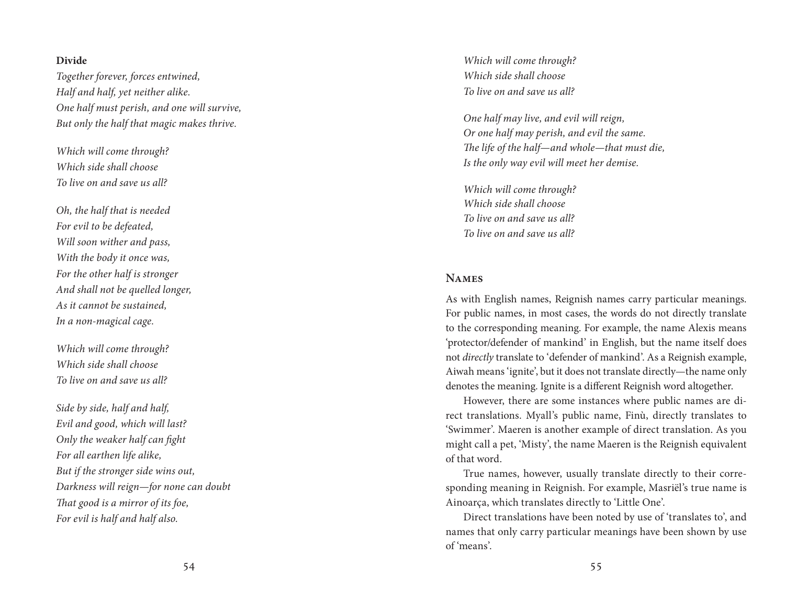### **Divide**

*Together forever, forces entwined, Half and half, yet neither alike. One half must perish, and one will survive, But only the half that magic makes thrive.*

*Which will come through? Which side shall choose To live on and save us all?*

*Oh, the half that is needed For evil to be defeated, Will soon wither and pass, With the body it once was, For the other half is stronger And shall not be quelled longer, As it cannot be sustained, In a non-magical cage.*

*Which will come through? Which side shall choose To live on and save us all?*

*Side by side, half and half, Evil and good, which will last? Only the weaker half can fight For all earthen life alike, But if the stronger side wins out, Darkness will reign—for none can doubt That good is a mirror of its foe, For evil is half and half also.*

*Which will come through? Which side shall choose To live on and save us all?*

*One half may live, and evil will reign, Or one half may perish, and evil the same. The life of the half—and whole—that must die, Is the only way evil will meet her demise.*

*Which will come through? Which side shall choose To live on and save us all? To live on and save us all?*

## **Names**

As with English names, Reignish names carry particular meanings. For public names, in most cases, the words do not directly translate to the corresponding meaning. For example, the name Alexis means 'protector/defender of mankind' in English, but the name itself does not *directly* translate to 'defender of mankind'. As a Reignish example, Aiwah means 'ignite', but it does not translate directly—the name only denotes the meaning. Ignite is a different Reignish word altogether.

However, there are some instances where public names are di rect translations. Myall's public name, Finù, directly translates to 'Swimmer'. Maeren is another example of direct translation. As you might call a pet, 'Misty', the name Maeren is the Reignish equivalent of that word.

True names, however, usually translate directly to their corre sponding meaning in Reignish. For example, Masriël's true name is Ainoarça, which translates directly to 'Little One'.

Direct translations have been noted by use of 'translates to', and names that only carry particular meanings have been shown by use of 'means'.